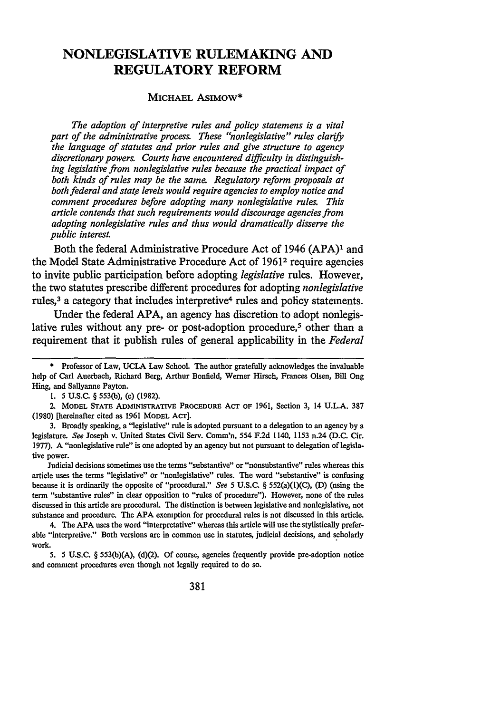# **NONLEGISLATIVE RULEMAKING AND REGULATORY REFORM**

#### **MICHAEL ASIMOW\***

*The adoption of interpretive rules and policy statemens is a vital part of the administrative process. These "nonlegislative" rules* clarify *the language of statutes and prior rules and give structure to agency discretionary powers. Courts have encountered difficulty in distinguishing legislative from nonlegislative rules because the practical impact of both kinds of rules may be the same. Regulatory reform proposals at both federal and state levels would require agencies to employ notice and comment procedures before adopting many nonlegislative rules. This article contends that such requirements would discourage agencies from adopting nonlegislative rules and thus would dramatically disserve the public interest.*

Both the federal Administrative Procedure Act of 1946 **(APA)**<sup>1</sup> and the Model State Administrative Procedure Act of **19612** require agencies to invite public participation before adopting *legislative* rules. However, the two statutes prescribe different procedures for adopting *nonlegislative* rules,<sup>3</sup> a category that includes interpretive<sup>4</sup> rules and policy statements.

Under the federal **APA,** an agency has discretion to adopt nonlegislative rules without any pre- or post-adoption procedure,<sup>5</sup> other than a requirement that it publish rules of general applicability in the *Federal*

3. Broadly speaking, a "legislative" rule is adopted pursuant to a delegation to an agency by a legislature. *See* Joseph v. United States Civil Serv. Comm'n, 554 F.2d 1140, 1153 n.24 (D.C. Cir. 1977). **A** "nonlegislative rule" is one adopted by an agency but not pursuant to delegation of legislative power.

Judicial decisions sometimes use the terms "substantive" or "nonsubstantive" rules whereas this article uses the terms "legislative" or "nonlegislative" rules. The word "substantive" is confusing because it is ordinarily the opposite of "procedural." See **5** U.S.C. **§** 552(a)(1)(C), **(D)** (using the term "substantive rules" in clear opposition to "rules of procedure"). However, none of the rules discussed in this article are procedural. The distinction is between legislative and nonlegislative, not substance and procedure. The **APA** exemption for procedural rules is not discussed in this article.

4. The APA uses the word "interpretative" whereas this article will use the stylistically preferable "interpretive." Both versions are in common use in statutes, judicial decisions, and scholarly work.

5. 5 U.S.C. § 553(b)(A), (d)(2). Of course, agencies frequently provide pre-adoption notice and comment procedures even though not legally required to do so.

**<sup>\*</sup>** Professor of Law, **UCLA** Law School. The author gratefully acknowledges the invaluable help of Carl Auerbach, Richard Berg, Arthur Bonfield, Werner Hirsch, Frances Olsen, Bill Ong Hing, and Sallyanne Payton.

<sup>1. 5</sup> U.S.C. § *553(b),* (c) (1982).

<sup>2.</sup> MODEL **STATE** ADMINISTRATIVE **PROCEDURE** ACT OF 1961, Section 3, 14 U.L.A. 387 (1980) [hereinafter cited as 1961 MODEL ACT].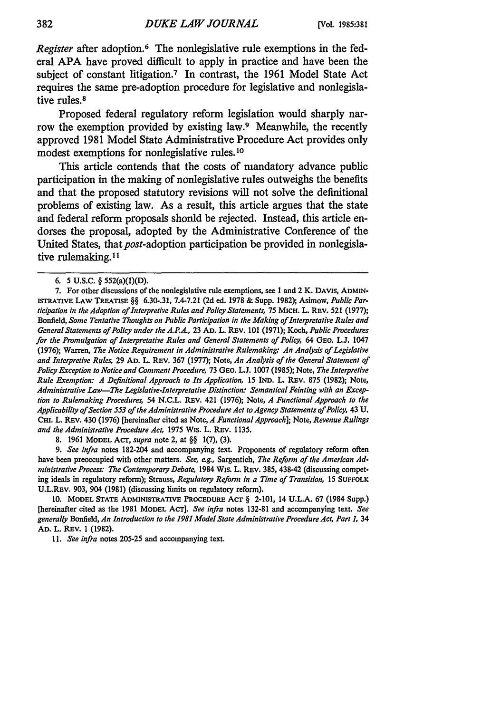*Register* after adoption.<sup>6</sup> The nonlegislative rule exemptions in the federal **APA** have proved difficult to apply in practice and have been the subject of constant litigation.7 In contrast, the **1961** Model State Act requires the same pre-adoption procedure for legislative and nonlegislative rules.<sup>8</sup>

Proposed federal regulatory reform legislation would sharply narrow the exemption provided **by** existing law.9 Meanwhile, the recently approved **1981** Model State Administrative Procedure Act provides only modest exemptions for nonlegislative rules.<sup>10</sup>

This article contends that the costs of mandatory advance public participation in the making of nonlegislative rules outweighs the benefits and that the proposed statutory revisions will not solve the definitional problems of existing law. As a result, this article argues that the state and federal reform proposals shonld be rejected. Instead, this article endorses the proposal, adopted **by** the Administrative Conference of the United States, that post-adoption participation be provided in nonlegislative rulemaking.11

**8.** 1961 MODEL ACT, *supra* note 2, at §§ 1(7), (3).

*9. See infra* notes 182-204 and accompanying text. Proponents of regulatory reform often have been preoccupied with other matters. *See, eg.,* Sargentich, *The Reform of the American Administrative Process. The Contemporary Debate,* 1984 Wis. L. REv. 385, 438-42 (discussing competing ideals in regulatory reform); Strauss, *Regulatory Reform in a Time of Transition,* 15 SUFFOLK U.L.REV. 903, 904 (1981) (discussing limits on regulatory reform).

**10.** MODEL **STATE** ADMINISTRATIVE PROCEDURE ACr § 2-101, 14 U.L.A. 67 (1984 Supp.) [hereinafter cited as the 1981 **MODEL** ACT]. *See infra* notes 132-81 and accompanying text. *See generally* Bonfield, *An Introduction to the 1981 Model State Administrative Procedure Act, Part 1,* 34 AD. L. REV. 1 (1982).

*11. See infra* notes 205-25 and accompanying text.

<sup>6.</sup> **5 U.S.C.** § 552(a)(1)(D).

**<sup>7.</sup>** For other discussions of the nonlegislative rule exemptions, see **1** and 2 K. DAvis, **ADMIN-**ISTRATIVE LAW TREATISE §§ **6.30-.31, 7.4-7.21 (2d** ed. **1978 &** Supp. **1982);** Asimow, Public Participation in *the Adoption of Interpretive Rules and Policy Statements,* **75** MICH. L. REv. **521 (1977);** Bonfield, *Some Tentative Thoughts on Public Participation in the Making of Interpretative Rules and General Statements of Policy under the A.P.A.,* 23 **AD.** L. REv. **101** (1971); Koch, *Public Procedures for the Promulgation of Interpretative Rules and General Statements of Policy,* 64 GEo. **L.J.** 1047 (1976); Warren, *The Notice Requirement in Administrative Rulemaking: An Analysis of Legislative and Interpretive Rules,* 29 AD. L. REv. 367 (1977); Note, *An Analysis of the General Statement of Policy Exception to Notice and Comment Procedure,* 73 GEo. *L.L* 1007 (1985); Note, *The Interpretive Rule Exemption: A Definitional Approach to Its Application,* 15 IND. L. REv. 875 **(1982);** Note, *Administrative Law-The Legislative-Interpretative Distinction: Semantical Feinting with an Exception to Rulemaking Procedures,* 54 N.C.L. REv. 421 (1976); Note, *A Functional Approach to the Applicability of Section 553 of the Administrative Procedure Act to Agency Statements of Policy,* 43 U. CHI. L. REv. 430 (1976) [hereinafter cited as Note, *A FunctionalApproach];* Note, *Revenue Rulings and the Administrative Procedure Act,* 1975 Wis. L. REV. 1135.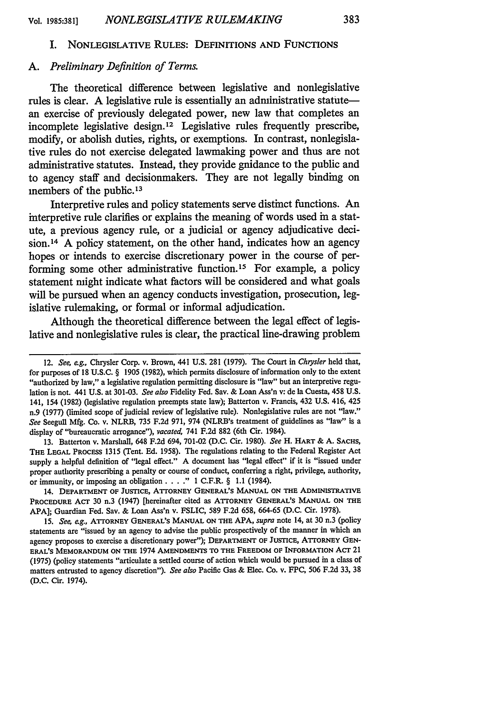### I. NONLEGISLATIVE **RULES: DEFINITIONS AND** FUNCTIONS

### *A. Preliminary Definition of Terms.*

The theoretical difference between legislative and nonlegislative rules is clear. A legislative rule is essentially an administrative statutean exercise of previously delegated power, new law that completes an incomplete legislative design.12 Legislative rules frequently prescribe, modify, or abolish duties, rights, or exemptions. In contrast, nonlegislative rules do not exercise delegated lawmaking power and thus are not administrative statutes. Instead, they provide gnidance to the public and to agency staff and decisionmakers. They are not legally binding on members of the public. **<sup>13</sup>**

Interpretive rules and policy statements serve distinct functions. An interpretive rule clarifies or explains the meaning of words used in a statute, a previous agency rule, or a judicial or agency adjudicative decision.<sup>14</sup> A policy statement, on the other hand, indicates how an agency hopes or intends to exercise discretionary power in the course of performing some other administrative function.<sup>15</sup> For example, a policy statement might indicate what factors will be considered and what goals will be pursued when an agency conducts investigation, prosecution, legislative rulemaking, or formal or informal adjudication.

Although the theoretical difference between the legal effect of legislative and nonlegislative rules is clear, the practical line-drawing problem

**13.** Batterton v. Marshall, 648 **F.2d** 694, **701-02 (D.C.** Cir. **1980).** *See* H. **HART** & **A. SACHS,** THE **LEGAL PROCESS** 1315 (Tent. **Ed. 1958).** The regulations relating to the Federal Register Act supply a helpful definition of "legal effect." **A** document has "legal effect" if it is "issued under proper authority prescribing a penalty or course of conduct, conferring a right, privilege, authority, or immunity, or imposing an obligation  $\ldots$  " 1 C.F.R. § 1.1 (1984).

14. **DEPARTMENT OF JUSTICE, ATTORNEY GENERAL'S MANUAL ON THE ADMINISTRATIVE PROCEDURE** ACT **30** n.3 (1947) [hereinafter cited as **ATTORNEY GENERAL'S MANUAL ON THE APA];** Guardian Fed. Say. & Loan **Ass'n** v. **FSLIC, 589 F.2d 658, 664-65 (D.C.** Cir. **1978).**

**15.** *See, eg.,* **ATTORNEY GENERAL'S MANUAL ON THE APA,** *supra* note 14, at **30** n.3 (policy statements are "issued **by** an agency to advise the public prospectively of the manner in which an agency proposes to exercise a discretionary power"); **DEPARTMENT OF JUSTICE, ATTORNEY GEN-ERAL'S MEMORANDUM ON THE** 1974 **AMENDMENTS TO THE FREEDOM OF INFORMATION** ACT 21 **(1975)** (policy statements "articulate a settled course of action which would be pursued in a class of matters entrusted to agency discretion"). *See also* Pacific Gas **&** Elec. Co. v. FPC, **506 F.2d 33, 38 (D.C.** Cir. 1974).

<sup>12.</sup> *See,* **eg.,** Chrysler Corp. v. Brown, 441 **U.S.** 281 **(1979).** The Court in *Chrysler* held that, for purposes of **18 U.S.C.** § 1905 **(1982),** which permits disclosure of information only to the extent "authorized **by** law," a legislative regulation permitting disclosure is "law" but an interpretive regulation is not. 441 **U.S.** at **301-03.** *See also* Fidelity Fed. **Sav.** & Loan Ass'n v: de Ia Cuesta, 458 **U.S.** 141, 154 **(1982)** (legislative regulation preempts state law); Batterton v. Francis, 432 **U.S.** 416, 425 n.9 **(1977)** (limited scope of judicial review of legislative rule). Nonlegislative rules are not "law." *See* Seegull **Mfg.** Co. v. NLRB, **735 F.2d 971,** 974 (NLRB's treatment of guidelines as "law" is a display of "bureaucratic arrogance"), *vacated,* 741 **F.2d 882** (6th Cir. 1984).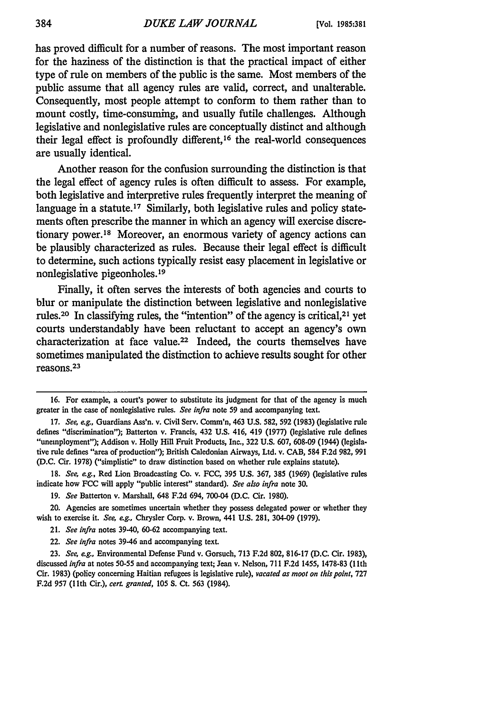has proved difficult for a number of reasons. The most important reason for the haziness of the distinction is that the practical impact of either type of rule on members of the public is the same. Most members of the public assume that all agency rules are valid, correct, and unalterable. Consequently, most people attempt to conform to them rather than to mount costly, time-consuming, and usually futile challenges. Although legislative and nonlegislative rules are conceptually distinct and although their legal effect is profoundly different, 16 the real-world consequences are usually identical.

Another reason for the confusion surrounding the distinction is that the legal effect of agency rules is often difficult to assess. For example, both legislative and interpretive rules frequently interpret the meaning of language in a statute.<sup>17</sup> Similarly, both legislative rules and policy statements often prescribe the manner in which an agency will exercise discretionary power.<sup>18</sup> Moreover, an enormous variety of agency actions can be plausibly characterized as rules. Because their legal effect is difficult to determine, such actions typically resist easy placement in legislative or nonlegislative pigeonholes.<sup>19</sup>

Finally, it often serves the interests of both agencies and courts to blur or manipulate the distinction between legislative and nonlegislative rules.<sup>20</sup> In classifying rules, the "intention" of the agency is critical,<sup>21</sup> yet courts understandably have been reluctant to accept an agency's own characterization at face value.22 Indeed, the courts themselves have sometimes manipulated the distinction to achieve results sought for other reasons. 23

**18.** *See, eg.,* Red Lion Broadcasting Co. v. **FCC, 395 U.S. 367, 385 (1969)** (legislative rules indicate how **FCC** will apply "public interest" standard). *See* also *infra* note **30.**

20. Agencies are sometimes uncertain whether they possess delegated power or whether they wish to exercise it. *See, eg.,* Chrysler Corp. v. Brown, 441 **U.S. 281,** 304-09 **(1979).**

- 21. *See infra* notes 39-40, **60-62** accompanying text.
- 22. *See infra* notes 39-46 and accompanying text.

**23.** *See,* ag., Environmental Defense Fund v. Gorsuch, **713 F.2d 802, 816-17 (D.C.** Cir. **1983),** discussed *infra* at notes **50-55** and accompanying text; Jean v. Nelson, **711 F.2d** 1455, **1478-83 (1** 1th Cir. **1983)** (policy concerning Haitian refugees is legislative rule), *vacated as moot on this point,* **727 F.2d 957 (11th** Cir.), cert. *granted,* **105 S. Ct. 563** (1984).

**<sup>16.</sup>** For example, a court's power to substitute its judgment for that of the agency is much greater in the case of nonlegislative rules. *See infra* note **59** and accompanying text.

**<sup>17.</sup>** *See,* e.g., Guardians Ass'n. v. Civil Serv. Comm'n, 463 **U.S. 582, 592 (1983)** (legislative rule defines "discrimination"); Batterton v. Francis, 432 **U.S.** 416, 419 **(1977)** (legislative rule defines "unemployment"); Addison v. Holly Hill Fruit Products, Inc., **322 U.S. 607, 608-09** (1944) (legislative rule defines "area of production"); British Caledonian Airways, Ltd. v. **CAB,** 584 **F.2d 982, 991 (D.C.** Cir. **1978)** ("simplistic" to draw distinction based on whether rule explains statute).

**<sup>19.</sup>** *See* Batterton v. Marshall, 648 **F.2d** 694, 700-04 **(D.C.** Cir. **1980).**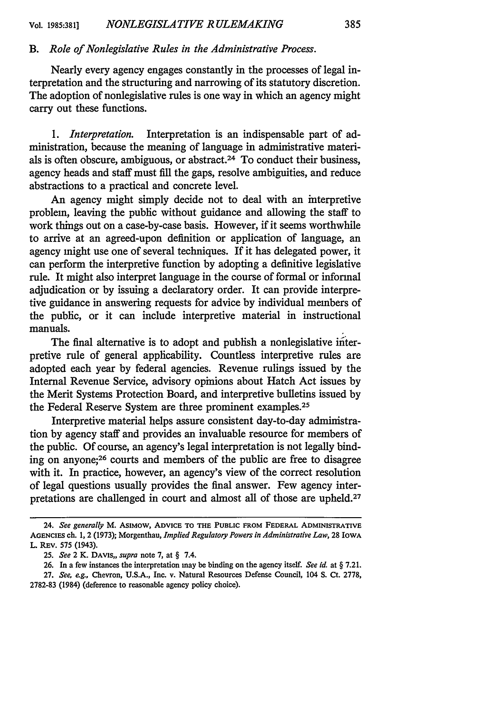### *B. Role of Nonlegislative Rules in the Administrative Process.*

Nearly every agency engages constantly in the processes of legal interpretation and the structuring and narrowing of its statutory discretion. The adoption of nonlegislative rules is one way in which an agency might carry out these functions.

*1. Interpretation.* Interpretation is an indispensable part of administration, because the meaning of language in administrative materials is often obscure, ambiguous, or abstract.<sup>24</sup> To conduct their business, agency heads and staff must fill the gaps, resolve ambiguities, and reduce abstractions to a practical and concrete level.

An agency might simply decide not to deal with an interpretive problem, leaving the public without guidance and allowing the staff to work things out on a case-by-case basis. However, if it seems worthwhile to arrive at an agreed-upon definition or application of language, an agency might use one of several techniques. If it has delegated power, it can perform the interpretive function by adopting a definitive legislative rule. It might also interpret language in the course of formal or informal adjudication or by issuing a declaratory order. It can provide interpretive guidance in answering requests for advice by individual members of the public, or it can include interpretive material in instructional manuals.

The final alternative is to adopt and publish a nonlegislative interpretive rule of general applicability. Countless interpretive rules are adopted each year by federal agencies. Revenue rulings issued by the Internal Revenue Service, advisory opinions about Hatch Act issues by the Merit Systems Protection Board, and interpretive bulletins issued by the Federal Reserve System are three prominent examples.<sup>25</sup>

Interpretive material helps assure consistent day-to-day administration by agency staff and provides an invaluable resource for members of the public. Of course, an agency's legal interpretation is not legally binding on anyone;26 courts and members of the public are free to disagree with it. In practice, however, an agency's view of the correct resolution of legal questions usually provides the final answer. Few agency interpretations are challenged in court and almost all of those are upheld.<sup>27</sup>

<sup>24.</sup> *See generally* M. AsIMOw, **ADVICE TO THE PUBLIC** FROM **FEDERAL ADMINISTRATIVE AGENCIES ch. 1,** 2 (1973); Morgenthau, *Implied Regulatory Powers in Administrative Law,* **28** IowA L. REV. **575** (1943).

**<sup>25.</sup>** *See* 2 K. **DAVIS,,** *supra* note **7,** at § 7.4.

**<sup>26.</sup>** In a few instances the interpretation may be binding on the agency itself. *See id.* at § **7.21.**

**<sup>27.</sup>** *See, e.g.,* Chevron, **U.S.A.,** Inc. v. **Natural** Resources **Defense** Council, 104 **S.** Ct. **2778,** 2782-83 (1984) (deference to reasonable agency policy choice).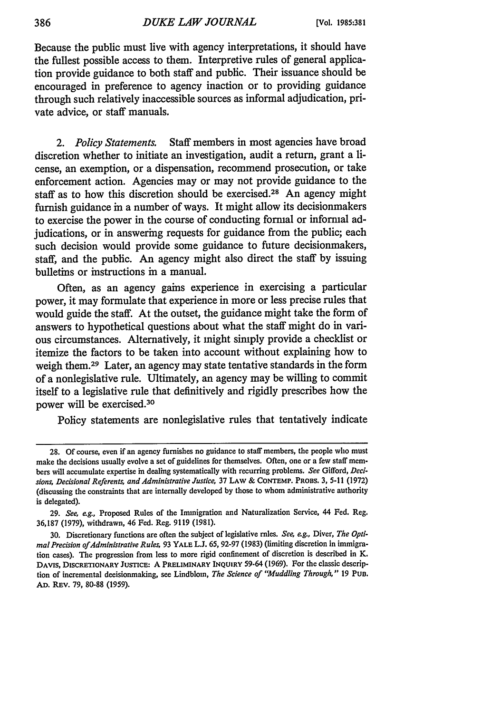Because the public must live with agency interpretations, it should have the fullest possible access to them. Interpretive rules of general application provide guidance to both staff and public. Their issuance should be encouraged in preference to agency inaction or to providing guidance through such relatively inaccessible sources as informal adjudication, private advice, or staff manuals.

*2. Policy Statements.* Staff members in most agencies have broad discretion whether to initiate an investigation, audit a return, grant a license, an exemption, or a dispensation, recommend prosecution, or take enforcement action. Agencies may or may not provide guidance to the staff as to how this discretion should be exercised.<sup>28</sup> An agency might furnish guidance in a number of ways. It might allow its decisionmakers to exercise the power in the course of conducting formal or informal adjudications, or in answering requests for guidance from the public; each such decision would provide some guidance to future decisionmakers, staff, and the public. An agency might also direct the staff by issuing bulletins or instructions in a manual.

Often, as an agency gains experience in exercising a particular power, it may formulate that experience in more or less precise rules that would guide the staff. At the outset, the guidance might take the form of answers to hypothetical questions about what the staff might do in various circumstances. Alternatively, it might simply provide a checklist or itemize the factors to be taken into account without explaining how to weigh them.29 Later, an agency may state tentative standards in the form of a nonlegislative rule. Ultimately, an agency may be willing to commit itself to a legislative rule that definitively and rigidly prescribes how the power will be exercised. <sup>30</sup>

Policy statements are nonlegislative rules that tentatively indicate

<sup>28.</sup> Of course, even if an agency furnishes no guidance to staff members, the people who must make the decisions usually evolve a set of guidelines for themselves. Often, one or a few staff members will accumulate expertise in dealing systematically with recurring problems. *See* Gifford, *Decisions, Decisional Referents, and Administrative Justice,* 37 LAW & **CONTEMP.** PROas. 3, 5-11 (1972) (discussing the constraints that are internally developed by those to whom administrative authority is delegated).

<sup>29.</sup> *See, eg.,* Proposed Rules of the Immigration and Naturalization Service, 44 Fed. Reg, 36,187 (1979), withdrawn, 46 Fed. Reg. 9119 (1981).

<sup>30.</sup> Discretionary functions are often the subject of legislative rules. *See, e.g.,* Diver, *The* Opti*mal Precision of Administrative Rules, 93 YALE L.J. 65, 92-97 (1983) (limiting discretion in immigra*tion cases). The progression from less to more rigid confinement of discretion is described in K. **DAVIS, DISCRETIONARY JUSTICE:** A **PRELIMINARY INQUIRY** 59-64 **(1969).** For the classic description of incremental decisionmaking, see Lindblom, *The Science of "Muddling Through,"* **19 Pun. AD.** REV. **79,** 80-88 **(1959).**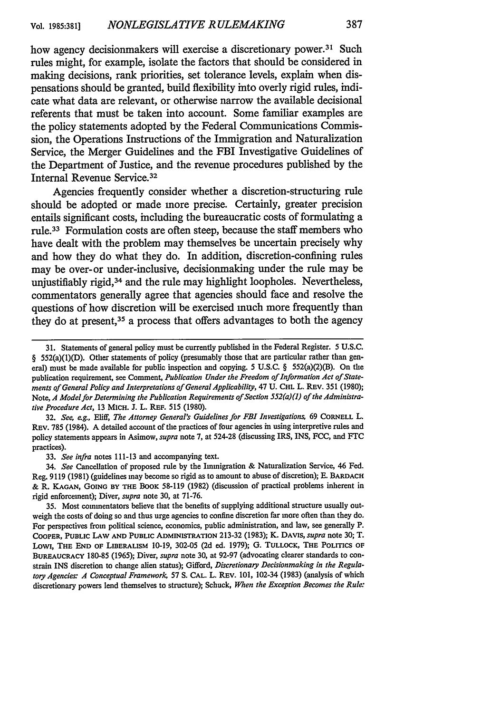how agency decisionmakers will exercise a discretionary power.<sup>31</sup> Such rules might, for example, isolate the factors that should be considered in making decisions, rank priorities, set tolerance levels, explain when dispensations should be granted, build flexibility into overly rigid rules, indicate what data are relevant, or otherwise narrow the available decisional referents that must be taken into account. Some familiar examples are the policy statements adopted **by** the Federal Communications Commission, the Operations Instructions of the Immigration and Naturalization Service, the Merger Guidelines and the FBI Investigative Guidelines of the Department of Justice, and the revenue procedures published **by** the Internal Revenue Service. <sup>32</sup>

Agencies frequently consider whether a discretion-structuring rule should be adopted or made more precise. Certainly, greater precision entails significant costs, including the bureaucratic costs of formulating a rule. 33 Formulation costs are often steep, because the staff members who have dealt with the problem may themselves be uncertain precisely why and how they do what they do. In addition, discretion-confining rules may be over-or under-inclusive, decisionmaking under the rule may be unjustifiably rigid,34 and the rule may highlight loopholes. Nevertheless, commentators generally agree that agencies should face and resolve the questions of how discretion will be exercised much more frequently than they do at present,  $35$  a process that offers advantages to both the agency

**32.** *See, eg.,* Eliff, *The Attorney General's Guidelines for FBI Investigations,* 69 **CORNELL** L. REv. 785 (1984). A detailed account of the practices of four agencies in using interpretive rules and policy statements appears in Asimow, *supra* note 7, at 524-28 (discussing IRS, INS, FCC, and FTC practices).

33. *See infra* notes 111-13 and accompanying text.

34. *See* Cancellation of proposed rule by the Immigration & Naturalization Service, 46 Fed. Reg. 9119 (1981) (guidelines may become so rigid as to amount to abuse of discretion); **E.** BARDACH & R. **KAGAN, GOING** BY **THE** BOOK 58-119 (1982) (discussion of practical problems inherent in rigid enforcement); Diver, *supra* note 30, at 71-76.

35. Most commentators believe that the benefits of supplying additional structure usually outweigh the costs of doing so and thus urge agencies to confine discretion far more often than they do. For perspectives from political science, economics, public administration, and law, see generally P. **COOPER, PUBLIC LAW AND PUBLIC ADMINISTRATION 213-32** (1983); K. DAVIS, *supra* note 30; T. LOWi, **THE END** OF LIBERALISM 10-19, 302-05 (2d ed. 1979); G. **TULLOCK, THE** POLITICS OF **BUREAUCRACY** 180-85 (1965); Diver, *supra* note 30, at 92-97 (advocating clearer standards to constrain INS discretion to change alien status); Gifford, *Discretionary Decisionmaking in the Regulatory Agencies: A Conceptual Framework* 57 **S. CAL.** L. REv. **101,** 102-34 **(1983)** (analysis of **which** discretionary powers lend themselves to structure); Schuck, *When the Exception Becomes the Rule:*

**<sup>31.</sup>** Statements of general policy must be currently published in the Federal Register. **5 U.S.C.** § 552(a)(1)(D). Other statements of policy (presumably those that are particular rather than general) must be made available for public inspection and copying. **5** U.S.C. § 552(a)(2)(B). On the publication requirement, see Comment, *Publication Under the Freedom of Information Act of Statements of General Policy and Interpretations of General Applicability,* 47 U. CHI. L. REv. 351 (1980); Note, *A Model for Determining the Publication Requirements of Section 552(a)(1) of the Administrative Procedure Act,* 13 MICH. **J.** L. REP. 515 (1980).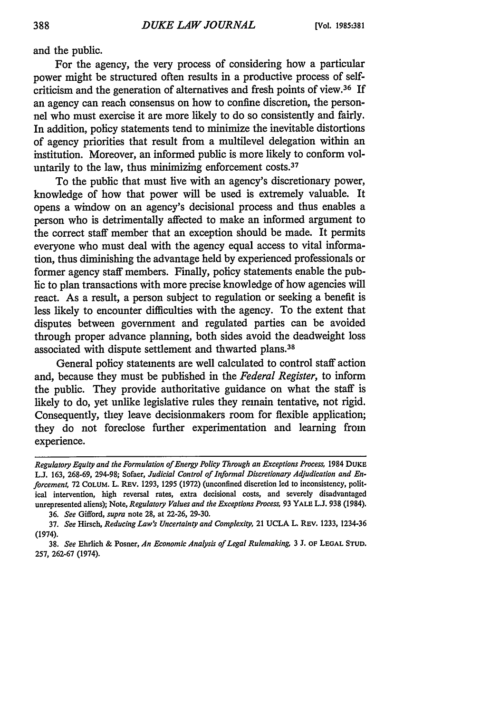and the public.

For the agency, the very process of considering how a particular power might be structured often results in a productive process of selfcriticism and the generation of alternatives and fresh points of view.36 If an agency can reach consensus on how to confine discretion, the personnel who must exercise it are more likely to do so consistently and fairly. In addition, policy statements tend to minimize the inevitable distortions of agency priorities that result from a multilevel delegation within an institution. Moreover, an informed public is more likely to conform voluntarily to the law, thus minimizing enforcement costs.<sup>37</sup>

To the public that must live with an agency's discretionary power, knowledge of how that power will be used is extremely valuable. It opens a window on an agency's decisional process and thus enables a person who is detrimentally affected to make an informed argument to the correct staff member that an exception should be made. It permits everyone who must deal with the agency equal access to vital information, thus diminishing the advantage held by experienced professionals or former agency staff members. Finally, policy statements enable the public to plan transactions with more precise knowledge of how agencies will react. As a result, a person subject to regulation or seeking a benefit is less likely to encounter difficulties with the agency. To the extent that disputes between government and regulated parties can be avoided through proper advance planning, both sides avoid the deadweight loss associated with dispute settlement and thwarted plans.<sup>38</sup>

General policy statements are well calculated to control staff action and, because they must be published in the *Federal Register,* to inform the public. They provide authoritative guidance on what the staff is likely to do, yet unlike legislative rules they remain tentative, not rigid. Consequently, they leave decisionmakers room for flexible application; they do not foreclose further experimentation and learning from experience.

*Regulatory Equity and the Formulation of Energy Policy Through an Exceptions Process,* 1984 **DUKE L.J.** 163, 268-69, 294-98; Sofaer, *Judicial Control of Informal Discretionary Adjudication and Enforcement,* 72 COLUM. L. REv. 1293, 1295 (1972) (unconfined discretion led to inconsistency, political intervention, high reversal rates, extra decisional costs, and severely disadvantaged unrepresented aliens); Note, *Regulatory Values and the Exceptions Process,* 93 YALE L.J. 938 (1984). 36. *See* Gifford, *supra* note 28, at 22-26, 29-30.

<sup>37.</sup> *See* Hirsch, *Reducing Law's Uncertainty and Complexity,* 21 UCLA L. REv. 1233, 1234-36 (1974).

<sup>38.</sup> *See* Ehrlich & Posner, *An Economic Analysis of Legal Rulemaking,* 3 **J. oF LEGAL STUD.** 257, 262-67 (1974).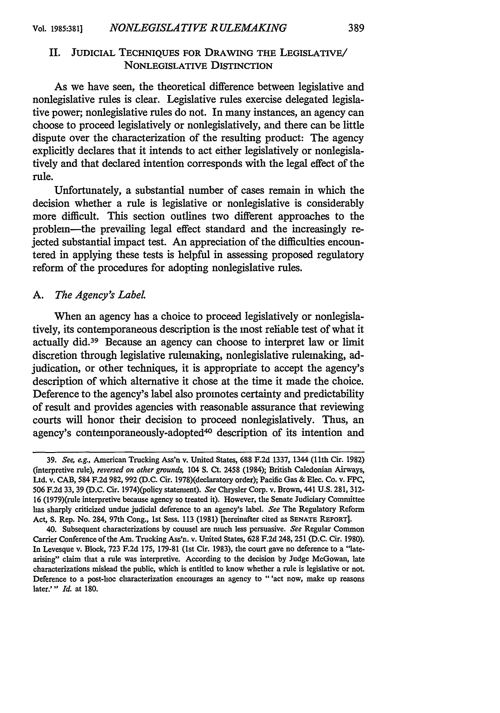# II. JUDICIAL TECHNIQUES FOR DRAWING THE LEGISLATIVE/ NONLEGISLATIVE DISTINCTION

As we have seen, the theoretical difference between legislative and nonlegislative rules is clear. Legislative rules exercise delegated legislative power; nonlegislative rules do not. In many instances, an agency can choose to proceed legislatively or nonlegislatively, and there can be little dispute over the characterization of the resulting product: The agency explicitly declares that it intends to act either legislatively or nonlegislatively and that declared intention corresponds with the legal effect of the rule.

Unfortunately, a substantial number of cases remain in which the decision whether a rule is legislative or nonlegislative is considerably more difficult. This section outlines two different approaches to the problem-the prevailing legal effect standard and the increasingly rejected substantial impact test. An appreciation of the difficulties encountered in applying these tests is helpful in assessing proposed regulatory reform of the procedures for adopting nonlegislative rules.

### *A. The Agency's Label.*

When an agency has a choice to proceed legislatively or nonlegislatively, its contemporaneous description is the most reliable test of what it actually did.39 Because an agency can choose to interpret law or limit discretion through legislative rulemaking, nonlegislative rulemaking, adjudication, or other techniques, it is appropriate to accept the agency's description of which alternative it chose at the time it made the choice. Deference to the agency's label also promotes certainty and predictability of result and provides agencies with reasonable assurance that reviewing courts will honor their decision to proceed nonlegislatively. Thus, an agency's contemporaneously-adopted<sup>40</sup> description of its intention and

**<sup>39.</sup>** *See,* eg., American Trucking Ass'n v. United States, **688 F.2d** 1337, 1344 (1lth Cir. 1982) (interpretive rule), *reversed on other grounds,* 104 **S.** Ct. 2458 (1984); British Caledonian Airways, Ltd. v. **CAB,** 584 **F.2d 982, 992 (D.C.** Cir. 1978)(declaratory order); Pacific Gas & Elec. Co. v. FPC, 506 **F.2d 33, 39 (D.C.** Cir. 1974)(policy statement). *See* Chrysler Corp. v. Brown, 441 **U.S.** 281, 312- **16** (1979)(rule interpretive because agency so treated it). However, the Senate Judiciary Committee has sharply criticized undue judicial deference to an agency's label. *See* The Regulatory Reform Act, **S.** Rep. No. 284, 97th Cong., 1st Sess. 113 (1981) [hereinafter cited as **SENATE REPORT].**

<sup>40.</sup> Subsequent characterizations **by** counsel are much less persuasive. *See* Regular Common Carrier Conference of the Am. Trucking Ass'n. v. United States, 628 **F.2d** 248, 251 **(D.C.** Cir. **1980).** In Levesque v. Block, **723 F.2d** 175, 179-81 (lst Cir. 1983), the court gave no deference to a "latearising" claim that a rule was interpretive. According to the decision **by** Judge McGowan, late characterizations mislead the public, which is entitled to know whether a rule is legislative or not. Deference to a post-hoe characterization encourages an agency to "'act now, make up reasons later.'" *Id.* at **180.**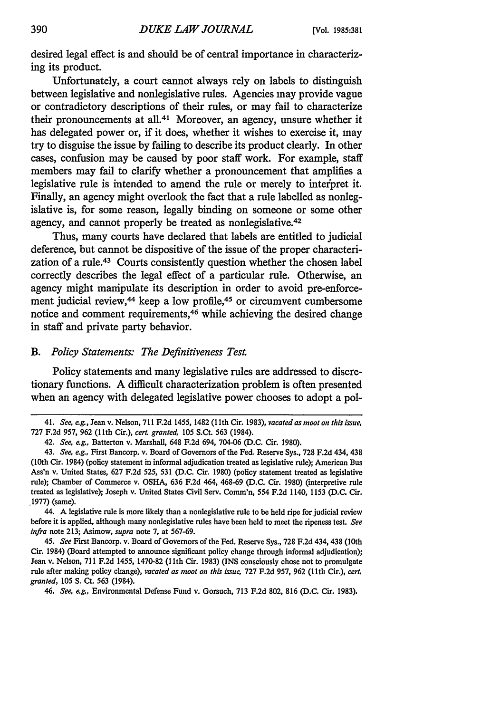desired legal effect is and should be of central importance in characterizing its product.

Unfortunately, a court cannot always rely on labels to distinguish between legislative and nonlegislative rules. Agencies may provide vague or contradictory descriptions of their rules, or may fail to characterize their pronouncements at all.<sup>41</sup> Moreover, an agency, unsure whether it has delegated power or, if it does, whether it wishes to exercise it, may try to disguise the issue **by** failing to describe its product clearly. In other cases, confusion may be caused **by** poor staff work. For example, staff members may fail to clarify whether a pronouncement that amplifies a legislative rule is intended to amend the rule or merely to interpret it. Finally, an agency might overlook the fact that a rule labelled as nonlegislative is, for some reason, legally binding on someone or some other agency, and cannot properly be treated as nonlegislative.<sup>42</sup>

Thus, many courts have declared that labels are entitled to judicial deference, but cannot be dispositive of the issue of the proper characterization of a rule.<sup>43</sup> Courts consistently question whether the chosen label correctly describes the legal effect of a particular rule. Otherwise, an agency might manipulate its description in order to avoid pre-enforcement judicial review,<sup>44</sup> keep a low profile,<sup>45</sup> or circumvent cumbersome notice and **comment** requirements, 46 while achieving the desired change in staff and private party behavior.

### *B. Policy Statements: The Definitiveness Test.*

Policy statements and many legislative rules are addressed to discretionary functions. **A** difficult characterization problem is often presented when an agency with delegated legislative power chooses to adopt a pol-

44. A legislative rule is more likely than a nonlegislative rule to be held ripe for judicial review before it is applied, although many nonlegislative rules have been held to meet the ripeness test. *See infra* note 213; Asimow, *supra* note **7,** at 567-69.

*45. See* First Bancorp. v. Board of Governors of the Fed. Reserve Sys., 728 F.2d 434, 438 (10th Cir. 1984) (Board attempted to announce significant policy change through informal adjudication); Jean v. Nelson, 711 F.2d 1455, 1470-82 (1lth Cir. 1983) (INS consciously chose not to promulgate rule after making policy change), *vacated as moot on this issue,* 727 F.2d 957, 962 (1lth Cir.), *cert. granted,* 105 **S.** Ct. 563 (1984).

46. *See, eg.,* Environmental Defense Fund v. Gorsuch, 713 F.2d 802, 816 (D.C. Cir. 1983).

<sup>41.</sup> *See, e.g.,* Jean v. Nelson, 711 **F.2d** 1455, 1482 (11th Cir. 1983), *vacated as moot on this issue,* 727 F.2d 957, 962 (11th Cir.), *cert. granted,* 105 S.Ct. 563 (1984).

<sup>42.</sup> *See, eg.,* Batterton v. Marshall, 648 F.2d 694, 704-06 (D.C. Cir. 1980).

<sup>43.</sup> *See, e.g.,* First Bancorp. v. Board of Governors of the Fed. Reserve Sys., 728 F.2d 434, 438 (10th Cir. 1984) (policy statement in informal adjudication treated as legislative rule); American Bus Ass'n v. United States, 627 F.2d 525, 531 (D.C. Cir. 1980) (policy statement treated as legislative rule); Chamber of Commerce v. OSHA, 636 F.2d 464, 468-69 (D.C. Cir. 1980) (interpretive rule treated as legislative); Joseph v. United States Civil Serv. Comm'n, 554 F.2d 1140, 1153 (D.C. Cir. 1977) (same).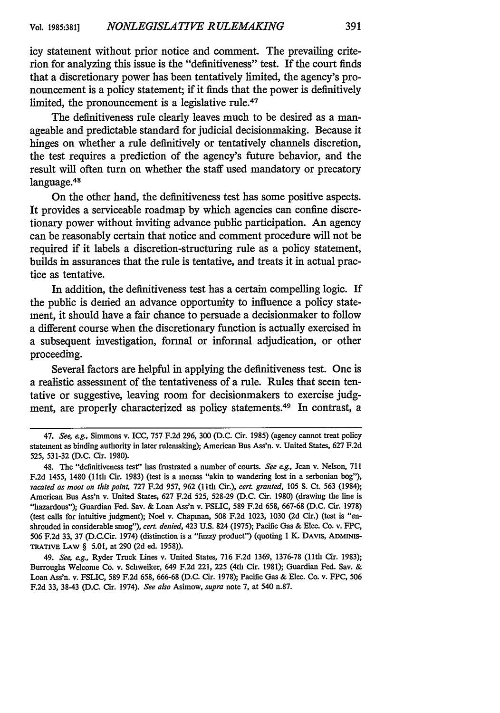icy statement without prior notice and comment. The prevailing criterion for analyzing this issue is the "definitiveness" test. If the court finds that a discretionary power has been tentatively limited, the agency's pronouncement is a policy statement; if it finds that the power is definitively limited, the pronouncement is a legislative rule.<sup>47</sup>

The definitiveness rule clearly leaves much to be desired as a manageable and predictable standard for judicial decisionmaking. Because it hinges on whether a rule definitively or tentatively channels discretion, the test requires a prediction of the agency's future behavior, and the result will often turn on whether the staff used mandatory or precatory language.<sup>48</sup>

On the other hand, the definitiveness test has some positive aspects. It provides a serviceable roadmap by which agencies can confine discretionary power without inviting advance public participation. An agency can be reasonably certain that notice and comment procedure will not be required if it labels a discretion-structuring rule as a policy statement, builds in assurances that the rule is tentative, and treats it in actual practice as tentative.

In addition, the definitiveness test has a certain compelling logic. If the public is denied an advance opportunity to influence a policy statement, it should have a fair chance to persuade a decisionmaker to follow a different course when the discretionary function is actually exercised in a subsequent investigation, formal or informal adjudication, or other proceeding.

Several factors are helpful in applying the definitiveness test. One is a realistic assessment of the tentativeness of a rule. Rules that seem tentative or suggestive, leaving room for decisionmakers to exercise judgment, are properly characterized as policy statements.49 In contrast, a

<sup>47.</sup> See, *e.g.,* Simmons v. ICC, 757 F.2d **296,** 300 (D.C. Cir. **1985)** (agency cannot treat policy statement as binding authority in later rulemaking); American Bus Ass'n. v. United States, 627 F.2d 525, 531-32 (D.C. Cir. 1980).

<sup>48.</sup> The "definitiveness test" has frustrated a number of courts. *See eg.,* Jean v. Nelson, 711 F.2d 1455, 1480 (1lth Cir. 1983) (test is a morass "akin to wandering lost in a serbonian bog"), *vacated as moot on this point,* 727 F.2d 957, 962 (11th Cir.), *cert. granted,* 105 **S.** Ct. 563 (1984); American Bus Ass'n v. United States, 627 F.2d 525, 528-29 (D.C. Cir. 1980) (drawing the line is "hazardous"); Guardian Fed. Say. & Loan Ass'n v. **FSLIC,** 589 F.2d 658, 667-68 (D.C. Cir. 1978) (test calls for intuitive judgment); Noel v. Chapman, 508 F.2d 1023, 1030 (2d Cir.) (test is "enshrouded in considerable smog"), *cert denied,* 423 U.S. 824 (1975); Pacific Gas & Elec. Co. v. FPC, 506 F.2d 33, 37 (D.C.Cir. 1974) (distinction is a "fuzzy product") (quoting **I** K. DAVIS, ADMINIS-**TRATIVE** LAW § **5.01,** at 290 (2d ed. 1958)).

<sup>49.</sup> *See, e.g.,* Ryder Truck Lines v. United States, 716 F.2d 1369, 1376-78 (11th Cir. 1983); Burroughs Welcome Co. v. Schweiker, 649 F.2d 221, 225 (4th Cir. 1981); Guardian Fed. Say. & Loan Ass'n. v. FSLIC, 589 F.2d 658, 666-68 (D.C. Cir. 1978); Pacific Gas & Elec. Co. v. FPC, 506 F.2d 33, 38-43 (D.C. Cir. 1974). *See also* Asimow, *supra* note 7, at 540 n.87.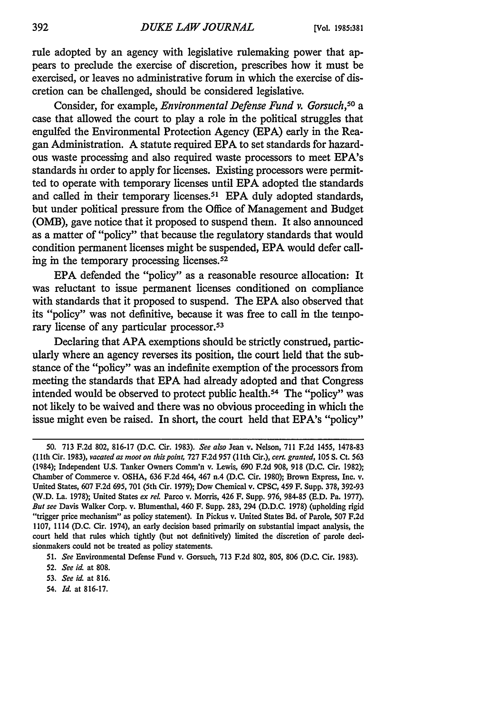rule adopted by an agency with legislative rulemaking power that appears to preclude the exercise of discretion, prescribes how it must be exercised, or leaves no administrative forum in which the exercise of discretion can be challenged, should be considered legislative.

Consider, for example, *Environmental Defense Fund v. Gorsuch,50 a* case that allowed the court to play a role in the political struggles that engulfed the Environmental Protection Agency (EPA) early in the Reagan Administration. A statute required EPA to set standards for hazardous waste processing and also required waste processors to meet EPA's standards in order to apply for licenses. Existing processors were permitted to operate with temporary licenses until EPA adopted the standards and called in their temporary licenses.<sup>51</sup> EPA duly adopted standards, but under political pressure from the Office of Management and Budget (OMB), gave notice that it proposed to suspend them. It also announced as a matter of "policy" that because the regulatory standards that would condition permanent licenses might be suspended, EPA would defer calling in the temporary processing licenses.<sup>52</sup>

EPA defended the "policy" as a reasonable resource allocation: It was reluctant to issue permanent licenses conditioned on compliance with standards that it proposed to suspend. The EPA also observed that its "policy" was not definitive, because it was free to call in the temporary license of any particular processor.<sup>53</sup>

Declaring that APA exemptions should be strictly construed, particularly where an agency reverses its position, the court held that the substance of the "policy" was an indefinite exemption of the processors from meeting the standards that EPA had already adopted and that Congress intended would be observed to protect public health.<sup>54</sup> The "policy" was not likely to be waived and there was no obvious proceeding in which the issue might even be raised. In short, the court held that EPA's "policy"

54. *Id.* at 816-17.

<sup>50. 713</sup> F.2d 802, 816-17 (D.C. Cir. 1983). *See also* Jean v. Nelson, 711 F.2d 1455, 1478-83 **(I** lth Cir. 1983), *vacated as moot on thispoint,* 727 F.2d 957 (11th Cir.), *cert. granted,* 105 **S.** Ct. 563 (1984); Independent U.S. Tanker Owners Comm'n v. Lewis, 690 F.2d 908, 918 (D.C. Cir. 1982); Chamber of Commerce v. OSHA, 636 F.2d 464, 467 n.4 (D.C. Cir. 1980); Brown Express, Inc. v. United States, 607 F.2d 695, 701 (5th Cir. 1979); Dow Chemical v. CPSC, 459 F. Supp. 378, 392-93 (W.D. La. 1978); United States ex rel. Parco v. Morris, 426 F. Supp. 976, 984-85 (E.D. Pa. 1977). *But see* Davis Walker Corp. v. Blumenthal, 460 F. Supp. 283, 294 (D.D.C. 1978) (upholding rigid "trigger price mechanism" as policy statement). In Pickus v. United States Bd. of Parole, 507 F.2d 1107, 1114 (D.C. Cir. 1974), an early decision based primarily on substantial impact analysis, the court held that rules which tightly (but not definitively) limited the discretion of parole decisionmakers could not be treated as policy statements.

<sup>51.</sup> *See* Environmental Defense Fund v. Gorsuch, 713 F.2d 802, 805, 806 (D.C. Cir. 1983).

<sup>52.</sup> *See id.* at 808.

<sup>53.</sup> *See* **id.** at 816.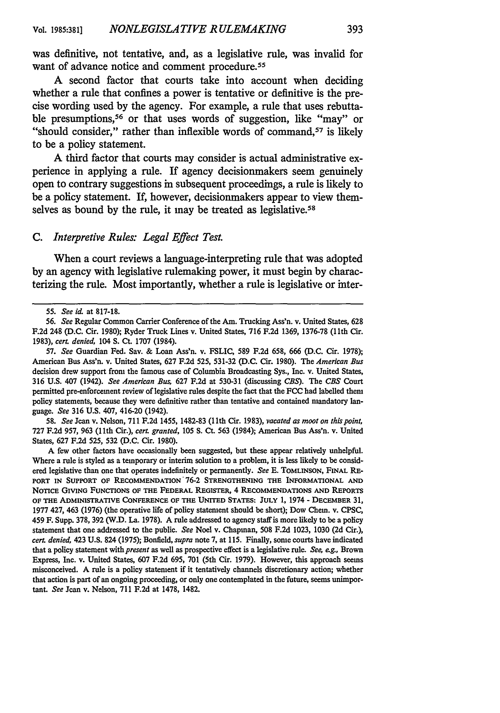was definitive, not tentative, and, as a legislative rule, was invalid for want of advance notice and comment procedure.<sup>55</sup>

**A** second factor that courts take into account when deciding whether a rule that confines a power is tentative or definitive is the precise wording used **by** the agency. For example, a rule that uses rebuttable presumptions,<sup>56</sup> or that uses words of suggestion, like "may" or "should consider," rather than inflexible words of command,<sup>57</sup> is likely to be a policy statement.

**A** third factor that courts may consider is actual administrative experience in applying a rule. If agency decisionmakers seem genuinely open to contrary suggestions in subsequent proceedings, a rule is likely to be a policy statement. If, however, decisionmakers appear to view themselves as bound by the rule, it may be treated as legislative.<sup>58</sup>

#### *C. Interpretive Rules: Legal Effect Test.*

When a court reviews a language-interpreting rule that was adopted **by** an agency with legislative rulemaking power, it must begin **by** characterizing the rule. Most importantly, whether a rule is legislative or inter-

58. *See* Jean v. Nelson, 711 F.2d 1455, 1482-83 (1lth Cir. 1983), *vacated as moot on thispoint,* 727 F.2d 957, 963 (11th Cir.), *cerL granted,* 105 **S.** Ct. 563 (1984); American Bus Ass'n. v. United States, 627 F.2d 525, 532 (D.C. Cir. 1980).

A few other factors have occasionally been suggested, but these appear relatively unhelpful. Where a rule is styled as a temporary or interim solution to a problem, it is less likely to be considered legislative than one that operates indefinitely or permanently. *See* E. TOMLINSON, FINAL RE-PORT **IN SUPPORT OF RECOMMENDATION'76-2 STRENGTHENING THE INFORMATIONAL AND NOTICE GIVING** FUNCTIONS OF THE FEDERAL REGISTER, 4 RECOMMENDATIONS **AND** REPORTS **OF** THE ADMINISTRATIVE **CONFERENCE** OF THE UNITED STATES: JULY **1,** 1974 - DECEMBER **31,** 1977 427, 463 **(1976)** (the operative life of policy statement should be short); Dow Chem. v. **CPSC,** 459 F. Supp. **378, 392** (W.D. La. **1978).** A rule addressed to agency staff is more likely to be a policy statement that one addressed to the public. *See* Noel v. Chapman, **508 F.2d 1023, 1030 (2d** Cir.), *cert. denied,* 423 **U.S.** 824 **(1975);** Bonfield, *supra* note *7,* at 115. Finally, some courts have indicated that a policy statement *with present* as well as prospective effect is a legislative rule. *See, eg.,* Brown Express, Inc. v. United States, **607 F.2d 695, 701** (5th Cir. **1979).** However, this approach seems misconceived. **A** rule is a policy statement if it tentatively channels discretionary action; whether that action is part of an ongoing proceeding, or only one contemplated in the future, seems unimportant. *See* Jean v. Nelson, 711 F.2d at 1478, 1482.

**<sup>55.</sup>** *See id.* at 817-18.

<sup>56.</sup> *See* Regular Common Carrier Conference of the Am. Trucking Ass'n. v. United States, 628 F.2d 248 (D.C. Cir. 1980); Ryder Truck Lines v. United States, 716 F.2d 1369, 1376-78 (1lth Cir. 1983), *cert denied,* 104 **S.** Ct. 1707 (1984).

<sup>57.</sup> *See* Guardian Fed. Say. & Loan Ass'n. v. FSLIC, 589 F.2d 658, 666 (D.C. Cir. 1978); American Bus Ass'n. v. United States, 627 F.2d 525, 531-32 (D.C. Cir. 1980). The *American Bus* decision drew support from the famous case of Columbia Broadcasting Sys., Inc. v. United States, 316 U.S. 407 (1942). *See American Bus,* 627 F.2d at 530-31 (discussing *CBS). The CBS* Court permitted pre-enforcement review of legislative rules despite the fact that the FCC had labelled them policy statements, because they were definitive rather than tentative and contained mandatory language. *See* 316 U.S. 407, 416-20 (1942).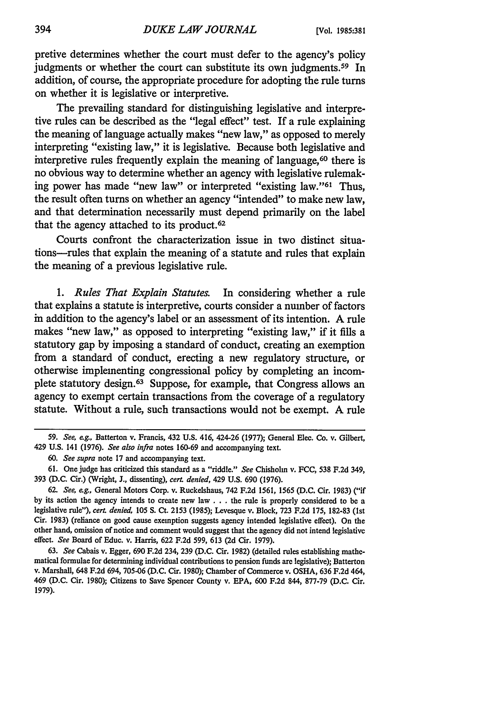pretive determines whether the court must defer to the agency's policy judgments or whether the court can substitute its own judgments.<sup>59</sup> In addition, of course, the appropriate procedure for adopting the rule turns on whether it is legislative or interpretive.

The prevailing standard for distinguishing legislative and interpretive rules can be described as the "legal effect" test. If a rule explaining the meaning of language actually makes "new law," as opposed to merely interpreting "existing law," it is legislative. Because both legislative and interpretive rules frequently explain the meaning of language,<sup>60</sup> there is no obvious way to determine whether an agency with legislative rulemaking power has made "new law" or interpreted "existing law."<sup>61</sup> Thus, the result often turns on whether an agency "intended" to make new law, and that determination necessarily must depend primarily on the label that the agency attached to its product.<sup>62</sup>

Courts confront the characterization issue in two distinct situations-rules that explain the meaning of a statute and rules that explain the meaning of a previous legislative rule.

*1. Rules That Explain Statutes.* In considering whether a rule that explains a statute is interpretive, courts consider a number of factors in addition to the agency's label or an assessment of its intention. A rule makes "new law," as opposed to interpreting "existing law," if it fills a statutory gap by imposing a standard of conduct, creating an exemption from a standard of conduct, erecting a new regulatory structure, or otherwise implementing congressional policy by completing an incomplete statutory design. 63 Suppose, for example, that Congress allows an agency to exempt certain transactions from the coverage of a regulatory statute. Without a rule, such transactions would not be exempt. A rule

**<sup>59.</sup>** *See, eg.,* Batterton v. Francis, 432 **U.S.** 416, 424-26 **(1977);** General Elec. Co. v. Gilbert, 429 U.S. 141 (1976). *See also infira* notes 160-69 and accompanying text.

*<sup>60.</sup> See supra* note 17 and accompanying text.

<sup>61.</sup> One judge has criticized this standard as a "riddle." *See* Chisholm v. **FCC,** 538 F.2d 349, 393 (D.C. Cir.) (Wright, **J.,** dissenting), *cert. denied,* 429 U.S. 690 (1976).

<sup>62.</sup> *See, eg.,* General Motors Corp. v. Ruckelshaus, 742 F.2d 1561, 1565 (D.C. Cir. 1983) ("if by its action the agency intends to create new law **. . .** the rule is properly considered to be a legislative rule"), *cert. denied,* 105 **S.** Ct. 2153 (1985); Levesque v. Block, 723 F.2d 175, 182-83 (1st Cir. 1983) (reliance on good cause exemption suggests agency intended legislative effect). On the other hand, omission of notice and comment would suggest that the agency did not intend legislative effect. *See* Board of Educ. v. Harris, 622 F.2d 599, 613 (2d Cir. 1979).

<sup>63.</sup> *See* Cabais v. Egger, 690 F.2d 234, 239 (D.C. Cir. 1982) (detailed rules establishing mathematical formulae for determining individual contributions to pension funds are legislative); Batterton v. Marshall, 648 F.2d 694, 705-06 (D.C. Cir. 1980); Chamber of Commerce v. OSHA, 636 F.2d 464, 469 (D.C. Cir. 1980); Citizens to Save Spencer County v. EPA, 600 F.2d 844, 877-79 (D.C. Cir. 1979).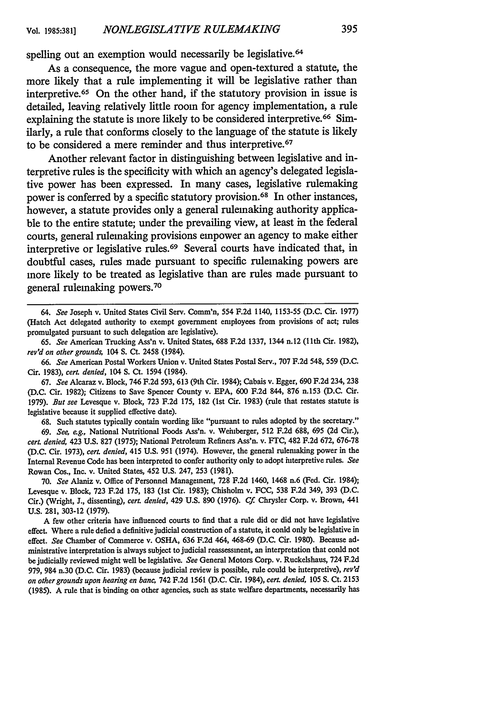spelling out an exemption would necessarily be legislative.<sup>64</sup>

As a consequence, the more vague and open-textured a statute, the more likely that a rule implementing it will be legislative rather than interpretive. 65 On the other hand, if the statutory provision in issue is detailed, leaving relatively little room for agency implementation, a rule explaining the statute is more likely to be considered interpretive.<sup>66</sup> Similarly, a rule that conforms closely to the language of the statute is likely to be considered a mere reminder and thus interpretive. <sup>67</sup>

Another relevant factor in distinguishing between legislative and interpretive rules is the specificity with which an agency's delegated legislative power has been expressed. In many cases, legislative rulemaking power is conferred **by** a specific statutory provision.68 In other instances, however, a statute provides only a general rulemaking authority applicable to the entire statute; under the prevailing view, at least in the federal courts, general rulemaking provisions empower an agency to make either interpretive or legislative rules.<sup>69</sup> Several courts have indicated that, in doubtful cases, rules made pursuant to specific rulemaking powers are more likely to be treated as legislative than are rules made pursuant to general rulemaking powers.<sup>70</sup>

*64.* See Joseph v. United States Civil Serv. Comm'n, 554 **F.2d** 1140, 1153-55 **(D.C.** Cir. 1977) (Hatch Act delegated authority to exempt government employees from provisions of act; rules promulgated pursuant to such delegation are legislative).

65. See American Trucking Ass'n v. United States, 688 F.2d 1337, 1344 n.12 (lth Cir. 1982), rev'd *on other grounds,* 104 **S.** Ct. 2458 (1984).

**66.** *See* American Postal Workers Union v. United States Postal Serv., 707 F.2d 548, 559 (D.C. Cir. 1983), *cert denied,* 104 **S.** Ct. 1594 (1984).

67. *See* Alcaraz v. Block, 746 F.2d 593, 613 (9th Cir. 1984); Cabais v. Egger, 690 F.2d 234, 238 (D.C. Cir. 1982); Citizens to Save Spencer County v. EPA, 600 F.2d 844, 876 n.153 (D.C. Cir. 1979). *But see* Levesque v. Block, 723 F.2d 175, 182 (1st Cir. 1983) (rule that restates statute is legislative because it supplied effective date).

68. Such statutes typically contain wording like "pursuant to rules adopted by the secretary." 69. *See, eg.,* National Nutritional Foods Ass'n. v. Weinberger, 512 F.2d 688, 695 (2d Cir.), cert. *denied,* 423 U.S. 827 (1975); National Petroleum Refiners Ass'n. v. FTC, 482 F.2d 672, 676-78 (D.C. Cir. 1973), *cert denied,* 415 U.S. 951 (1974). However, the general rulemaking power in the Internal Revenue Code has been interpreted to confer authority only to adopt interpretive rules. *See* Rowan Cos., Inc. v. United States, 452 U.S. 247, 253 (1981).

70. *See* Alaniz v. Office of Personnel Management, 728 F.2d 1460, 1468 n.6 (Fed. Cir. 1984); Levesque v. Block, 723 F.2d 175, 183 (1st Cir. 1983); Chisholm v. FCC, 538 F.2d 349, 393 (D.C. Cir.) (Wright, J., dissenting), *cert denied,* 429 U.S. 890 (1976). *Cf* Chrysler Corp. v. Brown, 441 **U.S.** 281, 303-12 (1979).

**A** few other criteria have influenced courts to find that a rule did or did not have legislative effect. Where a rule defied a definitive judicial construction of a statute, it could only be legislative in effect. *See* Chamber of Commerce v. OSHA, 636 F.2d 464, 468-69 (D.C. Cir. 1980). Because administrative interpretation is always subject to judicial reassessment, an interpretation that could not be judicially reviewed might well be legislative. *See* General Motors Corp. v. Ruckelshaus, 724 F.2d 979, 984 n.30 (D.C. Cir. 1983) (because judicial review is possible, rule could be interpretive), *rev'd on other grounds upon hearing en ban* 742 F.2d 1561 (D.C. Cir. 1984), *cert. denied,* 105 **S.** Ct. 2153 (1985). A rule that is binding on other agencies, such as state welfare departments, necessarily has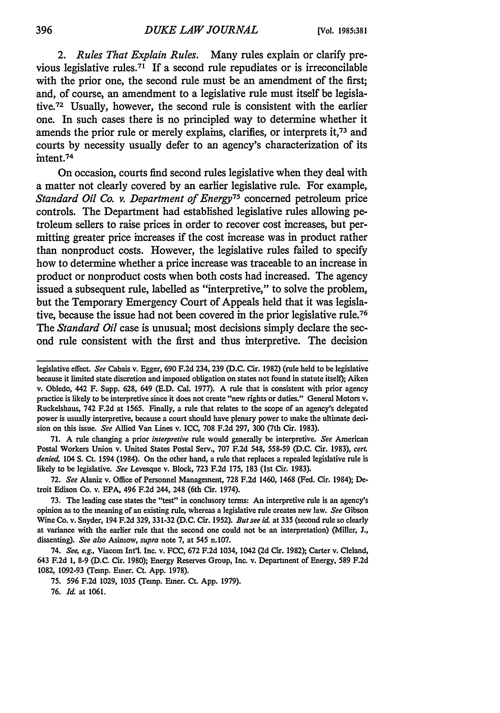*2. Rules That Explain Rules.* Many rules explain or clarify previous legislative **rules.71** If a second rule repudiates or is irreconcilable with the prior one, the second rule must be an amendment of the first; and, of course, an amendment to a legislative rule must itself be legislative. 72 Usually, however, the second rule is consistent with the earlier one. In such cases there is no principled way to determine whether it amends the prior rule or merely explains, clarifies, or interprets **it,73** and courts **by** necessity usually defer to an agency's characterization of its intent.<sup>74</sup>

On occasion, courts find second rules legislative when they deal with a matter not clearly covered **by** an earlier legislative rule. For example, *Standard Oil Co. v. Department of Energy75* concerned petroleum price controls. The Department had established legislative rules allowing petroleum sellers to raise prices in order to recover cost increases, but permitting greater price increases if the cost increase was in product rather than nonproduct costs. However, the legislative rules failed to specify how to determine whether a price increase was traceable to an increase in product or nonproduct costs when both costs had increased. The agency issued a subsequent rule, labelled as "interpretive," to solve the problem, but the Temporary Emergency Court of Appeals held that it was legislative, because the issue had not been covered in the prior legislative rule.76 The *Standard Oil* case is unusual; most decisions simply declare the second rule consistent with the first and thus interpretive. The decision

71. A rule changing a prior *interpretive* rule would generally be interpretive. *See* American Postal Workers Union v. United States Postal Serv., 707 F.2d 548, 558-59 (D.C. Cir. 1983), *cert. denied,* 104 **S.** Ct. 1594 (1984). On the other hand, a rule that replaces a repealed legislative rule is likely to be legislative. *See* Levesque v. Block, 723 F.2d 175, 183 (1st Cir. 1983).

72. *See* Alaniz v. Office of Personnel Management, 728 F.2d 1460, 1468 (Fed. Cir. 1984); Detroit Edison Co. v. EPA, 496 F.2d 244, 248 (6th Cir. 1974).

73. The leading case states the "test" in conclusory terms: An interpretive rule is an agency's opinion as to the meaning of an existing rule, whereas a legislative rule creates new law. *See* Gibson Wine Co. v. Snyder, 194 F.2d 329, 331-32 (D.C. Cir. 1952). *But see id.* at 335 (second rule so clearly at variance with the earlier rule that the second one could not be an interpretation) (Miller, J., dissenting). *See also* Asimow, *supra* note **7,** at 545 n.107.

74. *See, eg.,* Viacom Int'l. Inc. v. FCC, 672 F.2d 1034, 1042 (2d Cir. 1982); Carter v. Cleland, 643 F.2d 1, 8-9 (D.C. Cir. 1980); Energy Reserves Group, Inc. v. Department of Energy, 589 F.2d 1082, 1092-93 (Temp. Emer. Ct. App. 1978).

75. 596 F.2d 1029, 1035 (Temp. Emer. Ct. App. 1979).

76. *Id.* at 1061.

legislative effect. *See* Cabais v. Egger, 690 F.2d 234, 239 (D.C. Cir. 1982) (rule held to be legislative because it limited state discretion and imposed obligation on states not found in statute itself); Aiken v. Obledo, 442 F. Supp. 628, 649 (E.D. Cal. 1977). A rule that is consistent with prior agency practice is likely to be interpretive since it does not create "new rights or duties." General Motors v. Ruckelshaus, 742 F.2d at 1565. Finally, a rule that relates to the scope of an agency's delegated power is usually interpretive, because a court should have plenary power to make the ultimate decision on this issue. *See* Allied Van Lines v. ICC, 708 F.2d 297, 300 (7th Cit. 1983).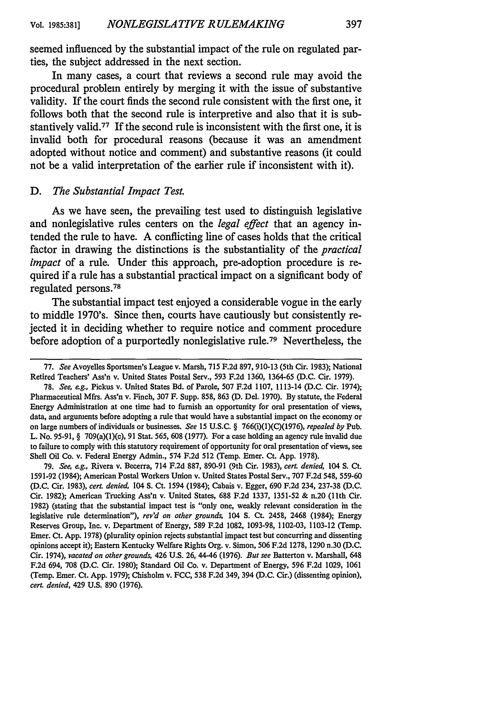seemed influenced **by** the substantial impact of the rule on regulated parties, the subject addressed in the next section.

In many cases, a court that reviews a second rule may avoid the procedural problem entirely **by** merging it with the issue of substantive validity. If the court finds the second rule consistent with the first one, it follows both that the second rule is interpretive and also that it is substantively valid.77 If the second rule is inconsistent with the first one, it is invalid both for procedural reasons (because it was an amendment adopted without notice and comment) and substantive reasons (it could not be a valid interpretation of the earlier rule if inconsistent with it).

#### *D. The Substantial Impact Test.*

As we have seen, the prevailing test used to distinguish legislative and nonlegislative rules centers on the *legal* effect that an agency intended the rule to have. **A** conflicting line of cases holds that the critical factor in drawing the distinctions is the substantiality of the *practical impact* of a rule. Under this approach, pre-adoption procedure is required if a rule has a substantial practical impact on a significant body of regulated persons.<sup>78</sup>

The substantial impact test enjoyed a considerable vogue in the early to middle 1970's. Since then, courts have cautiously but consistently rejected it in deciding whether to require notice and comment procedure before adoption of a purportedly nonlegislative rule.79 Nevertheless, the

79. *See, eg.,* Rivera v. Becerra, 714 F.2d 887, 890-91 (9th Cir. 1983), *cert. denied,* 104 *S.* Ct. 1591-92 (1984); American Postal Workers Union v. United States Postal Serv., 707 F.2d 548, 559-60 (D.C. Cir. 1983), *cert. denied,* 104 **S.** Ct. 1594 (1984); Cabais v. Egger, 690 F.2d 234, 237-38 (D.C. Cir. 1982); American Trucking Ass'n v. United States, 688 F.2d 1337, 1351-52 & n.20 (11th Cir. 1982) (stating that the substantial impact test is "only one, weakly relevant consideration in the legislative rule determination"), *rev'd on other grounds,* 104 **S.** Ct. 2458, 2468 (1984); Energy Reserves Group, Inc. v. Department of Energy, 589 F.2d 1082, 1093-98, 1102-03, 1103-12 (Temp. Emer. Ct. App. 1978) (plurality opinion rejects substantial impact test but concurring and dissenting opinions accept it); Eastern Kentucky Welfare Rights Org. v. Simon, 506 F.2d 1278, 1290 n.30 (D.C. Cir. 1974), *vacated on other grounds,* 426 U.S. 26, 44-46 (1976). *But see* Batterton v. Marshall, 648 F.2d 694, 708 (D.C. Cir. 1980); Standard Oil Co. v. Department of Energy, 596 F.2d 1029, 1061 (Temp. Emer. Ct. App. 1979); Chisholm v. FCC, 538 F.2d 349, 394 (D.C. Cir.) (dissenting opinion), *cert. denied,* 429 U.S. 890 (1976).

<sup>77.</sup> *See* Avoyelles Sportsmen's League v. Marsh, 715 F.2d 897, 910-13 (5th Cir. 1983); National Retired Teachers' Ass'n v. United States Postal Serv., 593 F.2d 1360, 1364-65 (D.C. Cir. 1979).

<sup>78.</sup> *See, eg.,* Pickus v. United States Bd. of Parole, 507 F.2d 1107, 1113-14 (D.C. Cir. 1974); Pharmaceutical Mfrs. Ass'n v. Finch, 307 F. Supp. 858, 863 (D. Del. 1970). By statute, the Federal Energy Administration at one time had to furnish an opportunity for oral presentation of views, data, and arguments before adopting a rule that would have a substantial impact on the economy or on large numbers of individuals or businesses. *See* 15 U.S.C. § 766(i)(1)(C)(1976), *repealed by* Pub. L. No. 95-91, § 709(a)(1)(c), 91 Stat. 565, 608 (1977). For a case holding an agency rule invalid due to failure to comply with this statutory requirement of opportunity for oral presentation of views, see Shell Oil Co. v. Federal Energy Admin., 574 F.2d 512 (Temp. Emer. Ct. App. 1978).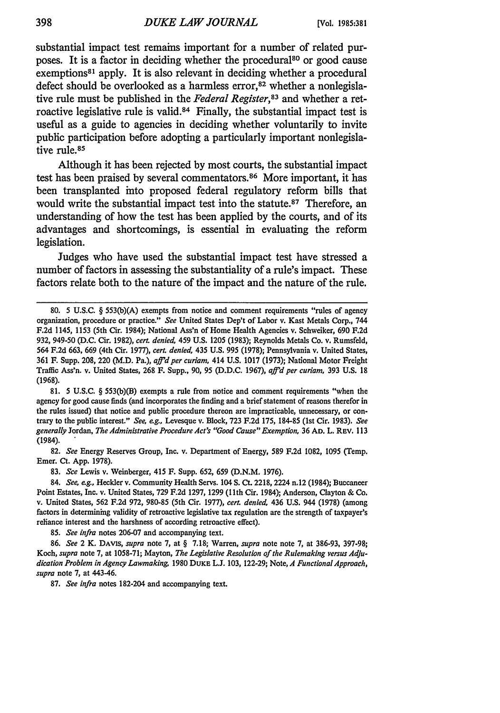substantial impact test remains important for a number of related purposes. It is a factor in deciding whether the procedural<sup>80</sup> or good cause exemptions<sup>81</sup> apply. It is also relevant in deciding whether a procedural defect should be overlooked as a harmless error, $82$  whether a nonlegislative rule must be published in the *Federal Register, <sup>3</sup>*and whether a retroactive legislative rule is valid. 84 Finally, the substantial impact test is useful as a guide to agencies in deciding whether voluntarily to invite public participation before adopting a particularly important nonlegislative rule.<sup>85</sup>

Although it has been rejected **by** most courts, the substantial impact test has been praised by several commentators.<sup>86</sup> More important, it has been transplanted into proposed federal regulatory reform bills that would write the substantial impact test into the statute.<sup>87</sup> Therefore, an understanding of how the test has been applied **by** the courts, and of its advantages and shortcomings, is essential in evaluating the reform legislation.

Judges who have used the substantial impact test have stressed a number of factors in assessing the substantiality of a rule's impact. These factors relate both to the nature of the impact and the nature of the rule.

**81.** 5 U.S.C. § 553(b)(B) exempts a rule from notice and comment requirements "when the agency for good cause finds (and incorporates the finding and a brief statement of reasons therefor in the rules issued) that notice and public procedure thereon are impracticable, unnecessary, or contrary to the public interest." *See, eg.,* Levesque v. Block, 723 F.2d 175, 184-85 (1st Cir. 1983). *See generally* Jordan, *The Administrative ProcedureAct's "Good Cause" Exemption,* 36 **AD.** L. REV. 113 (1984).

82. *See* Energy Reserves Group, Inc. v. Department of Energy, 589 F.2d 1082, 1095 (Temp. Emer. Ct. App. 1978).

83. *See* Lewis v. Weinberger, 415 F. Supp. 652, 659 (D.N.M. 1976).

84. *See, eg.,* Heckler v. Community Health Servs. 104 **S.** Ct. 2218, 2224 n.12 (1984); Buccaneer Point Estates, Inc. v. United States, 729 F.2d 1297, 1299 (1 1th Cir. 1984); Anderson, Clayton & Co. v. United States, 562 F.2d 972, 980-85 (5th Cir. 1977), *cert. denied,* 436 U.S. 944 (1978) (among factors in determining validity of retroactive legislative tax regulation are the strength of taxpayer's reliance interest and the harshness of according retroactive effect).

85. *See infra* notes 206-07 and accompanying text.

86. *See* 2 K. **DAVIS,** *supra* note 7, at § 7.18; Warren, *supra* note note 7, at 386-93, 397-98; *Koch, supra* note 7, at 1058-71; Mayton, *The Legislative Resolution of the Rulemaking versus Adjudication Problem in Agency Lawmaking,* 1980 DUKE L.J. 103, 122-29; Note, *A Functional Approach, supra* note 7, at 443-46.

87. *See infra* notes 182-204 and accompanying text.

<sup>80. 5</sup> U.S.C. § 553(b)(A) exempts from notice and comment requirements "rules of agency organization, procedure or practice." *See* United States Dep't of Labor v. Kast Metals Corp., 744 F.2d 1145, 1153 (5th Cir. 1984); National Ass'n of Home Health Agencies v. Schweiker, 690 F.2d 932, 949-50 (D.C. Cir. 1982), *cert denied,* 459 U.S. 1205 (1983); Reynolds Metals Co. v. Rumsfeld, 564 F.2d 663, 669 (4th Cir. 1977), *cerL denied,* 435 U.S. 995 (1978); Pennsylvania v. United States, 361 F. Supp. 208, 220 (M.D. Pa.), *affd per curiam,* 414 U.S. 1017 (1973); National Motor Freight Traffic Ass'n. v. United States, **268** F. Supp., **90,** 95 **(D.D.C. 1967),** *affd per curiam,* **393 U.S. 18** (1968).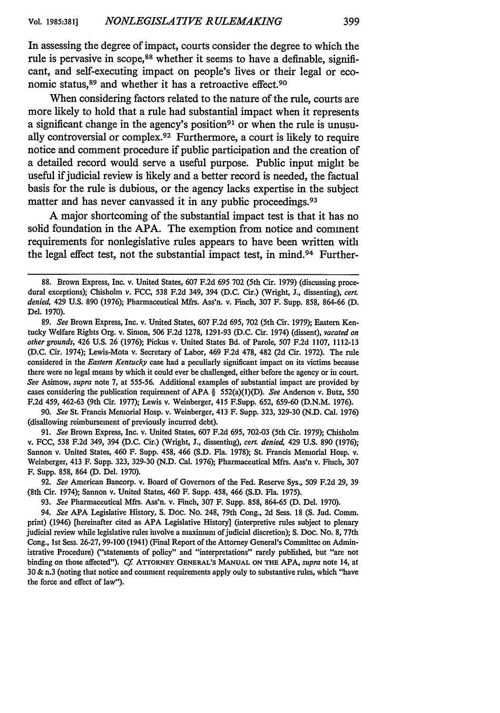In assessing the degree of impact, courts consider the degree to which the rule is pervasive in scope,<sup>88</sup> whether it seems to have a definable, significant, and self-executing impact on people's lives or their legal or economic status,<sup>89</sup> and whether it has a retroactive effect.<sup>90</sup>

When considering factors related to the nature of the rule, courts are more likely to hold that a rule had substantial impact when it represents a significant change in the agency's position<sup>91</sup> or when the rule is unusually controversial or complex.<sup>92</sup> Furthermore, a court is likely to require notice and comment procedure if public participation and the creation of a detailed record would serve a useful purpose. Public input might be useful if judicial review is likely and a better record is needed, the factual basis for the rule is dubious, or the agency lacks expertise in the subject matter and has never canvassed it in any public proceedings.<sup>93</sup>

**A** major shortcoming of the substantial impact test is that it has no solid foundation in the APA. The exemption from notice and comment requirements for nonlegislative rules appears to have been written with the legal effect test, not the substantial impact test, in mind.<sup>94</sup> Further-

89. *See* Brown Express, Inc. v. United States, 607 F.2d 695, 702 (5th Cir. 1979); Eastern Kentucky Welfare Rights Org. v. Simon, 506 F.2d 1278, 1291-93 (D.C. Cir. 1974) (dissent), *vacated on other grounds,* 426 U.S. 26 (1976); Pickus v. United States Bd. of Parole, 507 F.2d 1107, 1112-13 (D.C. Cir. 1974); Lewis-Mota v. Secretary of Labor, 469 F.2d 478, 482 (2d Cir. 1972). The rule considered in the *Eastern Kentucky* case had a peculiarly significant impact on its victims because there were no legal means by which it could ever be challenged, either before the agency or in court. *See* Asimow, *supra* note 7, at 555-56. Additional examples of substantial impact are provided by cases considering the publication requirement of APA § 552(a)(1)(D). *See* Anderson v. Butz, 550 F.2d 459, 462-63 (9th Cir. 1977); Lewis v. Weinberger, 415 F.Supp. 652, 659-60 (D.N.M. 1976).

90. *See* St. Francis Memorial Hosp. v. Weinberger, 413 F. Supp. 323, 329-30 (N.D. Cal. 1976) (disallowing reimbursement of previously incurred debt).

91. *See* Brown Express, Inc. v. United States, 607 F.2d 695, 702-03 (5th Cir. 1979); Chisholm v. FCC, 538 F.2d 349, 394 (D.C. Cir.) (Wright, J., dissenting), *cert denied,* 429 U.S. 890 (1976); Sannon v. United States, 460 F. Supp. 458, 466 (S.D. Fla. 1978); St. Francis Memorial Hosp. v. Weinberger, 413 F. Supp. 323, 329-30 (N.D. Cal. 1976); Pharmaceutical Mfrs. Ass'n v. Finch, 307 F. Supp. 858, 864 *(D.* Del. 1970).

92. *See* American Bancorp. v. Board of Governors of the Fed. Reserve Sys., 509 F.2d 29, 39 (8th Cir. 1974); Sannon v. United States, 460 F. Supp. 458, 466 (S.D. Fla. 1975).

93. *See* Pharmaceutical Mfrs. Ass'n. v. Finch, 307 F. Supp. 858, 864-65 *(D.* Del. 1970).

94. *See* APA Legislative History, S. Doc. No. 248, 79th Cong., 2d Sess. 18 **(S.** Jud. Comm. print) (1946) [hereinafter cited as APA Legislative History] (interpretive rules subject to plenary judicial review while legislative rules involve a maximum of judicial discretion); S. Doc. No. 8, 77th Cong., 1st Sess. 26-27, 99-100 (1941) (Final Report of the Attorney General's Committee on Administrative Procedure) ("statements of policy" and "interpretations" rarely published, but "are not binding on those affected"). Cf. ATTORNEY GENERAL'S MANUAL ON THE APA, supra note 14, at **30** & n.3 (noting that notice and comment requirements apply only to substantive rules, which "have the force and effect of law").

**<sup>88.</sup>** Brown Express, Inc. v. United States, **607** F.2d **695** 702 (5th Cir. **1979)** (discussing procedural exceptions); Chisholm v. FCC, 538 F.2d 349, 394 (D.C. Cir.) (Wright, J., dissenting), *cert denied,* 429 **U.S.** 890 (1976); Pharmaceutical Mfrs. Ass'n. v. Finch, 307 F. Supp. 858, 864-66 **(D.** Del. 1970).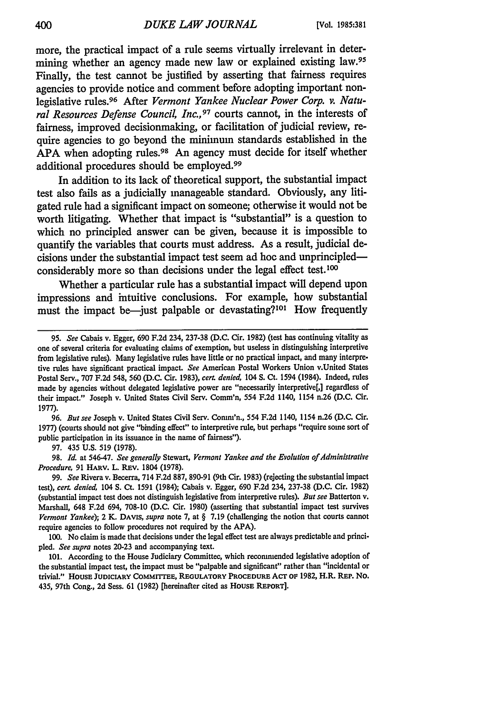more, the practical impact of a rule seems virtually irrelevant in determining whether an agency made new law or explained existing law.<sup>95</sup> Finally, the test cannot be justified **by** asserting that fairness requires agencies to provide notice and comment before adopting important nonlegislative rules. 96 After *Vermont Yankee Nuclear Power Corp. v. Natural Resources Defense Council, Inc.,97* courts cannot, in the interests of fairness, improved decisionmaking, or facilitation of judicial review, require agencies to go beyond the minimum standards established in the **APA** when adopting rules.98 An agency must decide for itself whether additional procedures should be employed.<sup>99</sup>

In addition to its lack of theoretical support, the substantial impact test also fails as a judicially manageable standard. Obviously, any litigated rule had a significant impact on someone; otherwise it would not be worth litigating. Whether that impact is "substantial" is a question to which no principled answer can be given, because it is impossible to quantify the variables that courts must address. As a result, judicial decisions under the substantial impact test seem ad hoc and unprincipledconsiderably more so than decisions under the legal effect test.<sup>100</sup>

Whether a particular rule has a substantial impact will depend upon impressions and intuitive conclusions. For example, how substantial must the impact be-just palpable or devastating?<sup>101</sup> How frequently

96. *But see* Joseph v. United States Civil Serv. Comm'n., 554 F.2d 1140, 1154 n.26 (D.C. Cir. 1977) (courts should not give "binding effect" to interpretive rule, but perhaps "require some sort of public participation in its issuance in the name of fairness").

97. 435 U.S. 519 (1978).

98. *Id.* at 546-47. *See generally* Stewart, *Vermont Yankee and the Evolution of Administrative Procedure,* 91 HARv. L. REv. 1804 (1978).

99. *See* Rivera v. Becerra, 714 F.2d 887, 890-91 (9th Cir. 1983) (rejecting the substantial impact *test), cert denied,* 104 **S.** Ct. 1591 (1984); Cabais v. Egger, 690 F.2d 234, 237-38 (D.C. Cir. 1982) (substantial impact test does not distinguish legislative from interpretive rules). *But see* Batterton v. Marshall, 648 F.2d 694, 708-10 (D.C. Cir. 1980) (asserting that substantial impact test survives *Vermont Yankee);* 2 K. DAVIS, *supra* note 7, at § 7.19 (challenging the notion that courts cannot require agencies to follow procedures not required by the APA).

100. No claim is made that decisions under the legal effect test are always predictable and principled. *See supra* notes 20-23 and accompanying text.

101. According to the House Judiciary Committee, which recommended legislative adoption of the substantial impact test, the impact must be "palpable and significant" rather than "incidental or trivial." HOUSE **JUDICIARY COMMITrEE, REGULATORY PROCEDURE Acr** op **1982,** H.R. REP. No. 435, 97th Cong., **2d** Sess. **61** (1982) [hereinafter cited as **HOUSE REPORT].**

<sup>95.</sup> *See* Cabais v. Egger, 690 F.2d 234, 237-38 (D.C. Cir. 1982) (test has continuing vitality as one of several criteria for evaluating claims of exemption, but useless in distinguishing interpretive from legislative rules). Many legislative rules have little or no practical impact, and many interpretive rules have significant practical impact. *See* American Postal Workers Union v.United States Postal Serv., 707 F.2d 548, 560 (D.C. Cir. 1983), *cert. denied,* 104 **S.** Ct. 1594 (1984). Indeed, rules made by agencies without delegated legislative power are "necessarily interpretive[,] regardless of their impact." Joseph v. United States Civil Serv. Comm'n, 554 F.2d 1140, 1154 n.26 (D.C. Cir. 1977).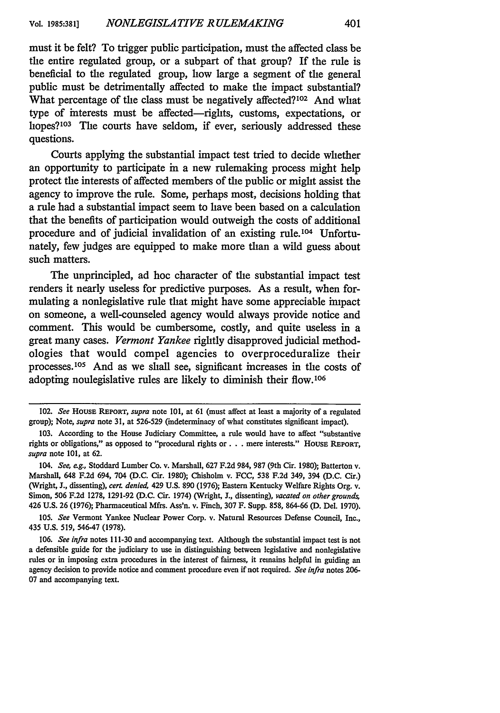must it be felt? To trigger public participation, must the affected class be the entire regulated group, or a subpart of that group? If the rule is beneficial to the regulated group, how large a segment of the general public must be detrimentally affected to make the impact substantial? What percentage of the class must be negatively affected?<sup>102</sup> And what type of interests must be affected-rights, customs, expectations, or hopes?103 The courts have seldom, if ever, seriously addressed these questions.

Courts applying the substantial impact test tried to decide whether an opportunity to participate in a new rulemaking process might help protect the interests of affected members of the public or might assist the agency to improve the rule. Some, perhaps most, decisions holding that a rule had a substantial impact seem to have been based on a calculation that the benefits of participation would outweigh the costs of additional procedure and of judicial invalidation of an existing rule.<sup>104</sup> Unfortunately, few judges are equipped to make more than a wild guess about such matters.

The unprincipled, ad **hoc** character of the substantial impact test renders it nearly useless for predictive purposes. As a result, when formulating a nonlegislative rule that might have some appreciable impact on someone, a well-counseled agency would always provide notice and comment. This would be cumbersome, costly, and quite useless in a great many cases. *Vermont Yankee* rightly disapproved judicial methodologies that would compel agencies to overproceduralize their processes.105 And as we shall see, significant increases in the costs of adopting nonlegislative rules are likely to diminish their flow.106

105. *See* Vermont Yankee Nuclear Power Corp. v. Natural Resources Defense Council, Inc., 435 **U.S. 519,** 546-47 (1978).

<sup>102.</sup> *See* HoUSE REPORT, *supra* note **101,** at **61** (must affect at least a majority of a regulated group); Note, *supra* note **31,** at **526-529** (indeterminacy of what constitutes significant impact).

<sup>103.</sup> According to the House Judiciary Committee, a rule would have to affect "substantive rights or obligations," as opposed to "procedural rights or . . . mere interests." House Report, *supra* note **101,** at 62.

*<sup>104.</sup> See, eg.,* Stoddard Lumber Co. v. Marshall, 627 F.2d 984, 987 (9th Cir. 1980); Batterton v. Marshall, 648 F.2d 694, 704 (D.C. Cir. 1980); Chisholm v. FCC, 538 F.2d 349, 394 (D.C. Cir.) (Wright, J., dissenting), *cert. denied,* 429 U.S. 890 (1976); Eastern Kentucky Welfare Rights Org. v. Simon, 506 F.2d 1278, 1291-92 (D.C. Cir. 1974) (Wright, J., dissenting), *vacated on other grounds,* 426 U.S. 26 (1976); Pharmaceutical Mfrs. Ass'n. v. Finch, 307 F. Supp. 858, 864-66 (D. Del. 1970).

<sup>106.</sup> *See infra* notes 111-30 and accompanying text. Although the substantial impact test is not a defensible guide for the judiciary to use in distinguishing between legislative and nonlegislative rules or in imposing extra procedures in the interest of fairness, it remains helpful in guiding an agency decision to provide notice and comment procedure even if not required. *See infra* notes 206- 07 and accompanying text.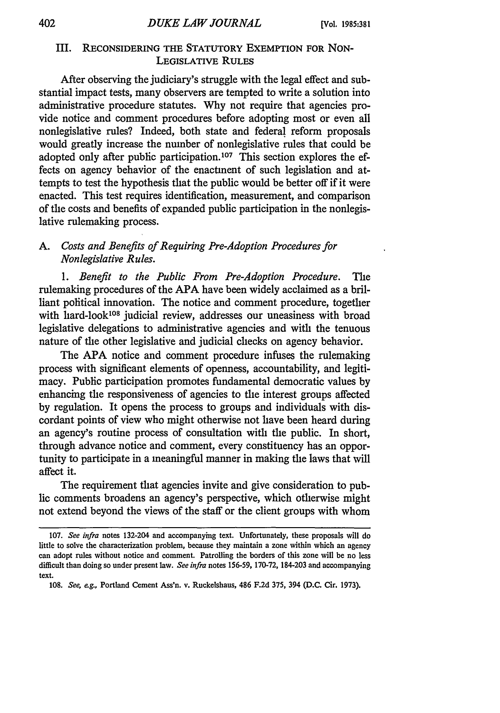# III. **RECONSIDERING** THE STATUTORY EXEMPTION FOR NON-LEGISLATIVE **RULES**

After observing the judiciary's struggle with the legal effect and substantial impact tests, many observers are tempted to write a solution into administrative procedure statutes. Why not require that agencies provide notice and comment procedures before adopting most or even all nonlegislative rules? Indeed, both state and federal reform proposals would greatly increase the number of nonlegislative rules that could be adopted only after public participation.<sup>107</sup> This section explores the effects on agency behavior of the enactment of such legislation and attempts to test the hypothesis that the public would be better off if it were enacted. This test requires identification, measurement, and comparison of the costs and benefits of expanded public participation in the nonlegislative rulemaking process.

# *A. Costs and Benefits of Requiring Pre-Adoption Procedures for Nonlegislative Rules.*

*1. Benefit to the Public From Pre-Adoption Procedure.* The rulemaking procedures of the APA have been widely acclaimed as a brilliant political innovation. The notice and comment procedure, together with hard-look<sup>108</sup> judicial review, addresses our uneasiness with broad legislative delegations to administrative agencies and with the tenuous nature of the other legislative and judicial checks on agency behavior.

The APA notice and comment procedure infuses the rulemaking process with significant elements of openness, accountability, and legitimacy. Public participation promotes fundamental democratic values by enhancing the responsiveness of agencies to the interest groups affected by regulation. It opens the process to groups and individuals with discordant points of view who might otherwise not have been heard during an agency's routine process of consultation with the public. In short, through advance notice and comment, every constituency has an opportunity to participate in a meaningful manner in making the laws that will affect it.

The requirement that agencies invite and give consideration to public comments broadens an agency's perspective, which otherwise might not extend beyond the views of the staff or the client groups with whom

<sup>107.</sup> *See infra* notes 132-204 and accompanying text. Unfortunately, these proposals will do little to solve the characterization problem, because they maintain a zone within which an agency can adopt rules without notice and comment. Patrolling the borders of this zone will be no less difficult than doing so under present law. *See infra* notes 156-59, 170-72, 184-203 and accompanying text.

<sup>108.</sup> *See, e.g.,* Portland Cement Ass'n. v. Ruckelshaus, 486 F.2d 375, 394 (D.C. Cir. 1973).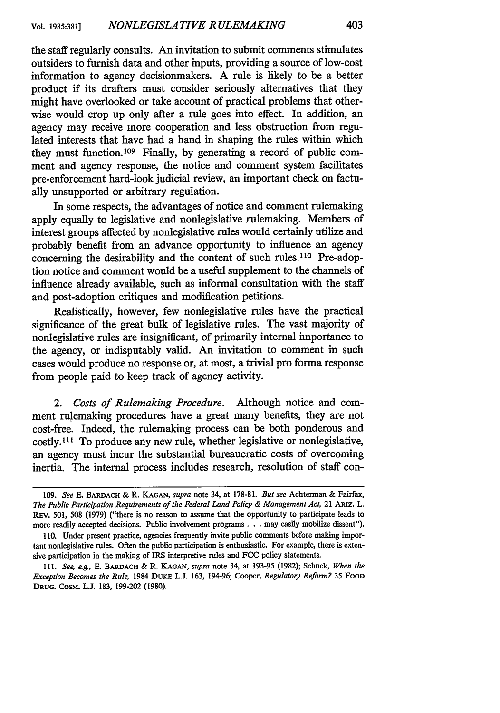the staff regularly consults. An invitation to submit comments stimulates outsiders to furnish data and other inputs, providing a source of low-cost information to agency decisionmakers. A rule is likely to be a better product if its drafters must consider seriously alternatives that they might have overlooked or take account of practical problems that otherwise would crop up only after a rule goes into effect. In addition, an agency may receive more cooperation and less obstruction from regulated interests that have had a hand in shaping the rules within which they must function.109 Finally, by generating a record of public comment and agency response, the notice and comment system facilitates pre-enforcement hard-look judicial review, an important check on factually unsupported or arbitrary regulation.

In some respects, the advantages of notice and comment rulemaking apply equally to legislative and nonlegislative rulemaking. Members of interest groups affected by nonlegislative rules would certainly utilize and probably benefit from an advance opportunity to influence an agency concerning the desirability and the content of such rules.<sup>110</sup> Pre-adoption notice and comment would be a useful supplement to the channels of influence already available, such as informal consultation with the staff and post-adoption critiques and modification petitions.

Realistically, however, few nonlegislative rules have the practical significance of the great bulk of legislative rules. The vast majority of nonlegislative rules are insignificant, of primarily internal importance to the agency, or indisputably valid. An invitation to comment in such cases would produce no response or, at most, a trivial pro forma response from people paid to keep track of agency activity.

*2. Costs of Rulemaking Procedure.* Although notice and comment rulemaking procedures have a great many benefits, they are not cost-free. Indeed, the rulemaking process can be both ponderous and costly."' To produce any new rule, whether legislative or nonlegislative, an agency must incur the substantial bureaucratic costs of overcoming inertia. The internal process includes research, resolution of staff con-

<sup>109.</sup> *See* **E.** BARDACH &; R. **KAGAN,** *supra* note 34, at 178-81. *But see* Achterman & Fairfax, *The Public Participation Requirements of the Federal Land Policy & Management Act,* 21 ARIZ. L. REv. 501, 508 (1979) ("there is no reason to assume that the opportunity to participate leads to more readily accepted decisions. Public involvement programs. **. .** may easily mobilize dissent").

<sup>110.</sup> Under present practice, agencies frequently invite public comments before making important nonlegislative rules. Often the public participation is enthusiastic. For example, there is extensive participation in the making of IRS interpretive rules and FCC policy statements.

**<sup>11.</sup>** *See, eg.,* E. BARDACH & IL **KAGAN,** *supra* note 34, at 193-95 (1982); Schuck, *When the Exception Becomes the Rule,* 1984 DUKE L.J. 163, 194-96; Cooper, *Regulatory Reform?* 35 FoOD **DRUG.** CosM. L.J. 183, 199-202 (1980).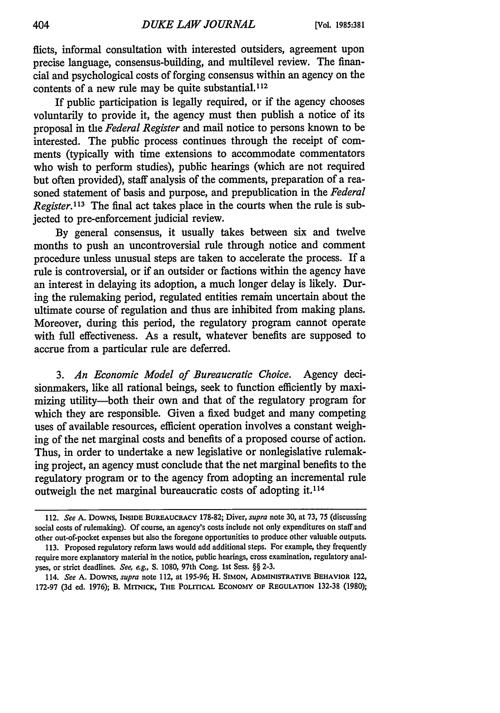flicts, informal consultation with interested outsiders, agreement upon precise language, consensus-building, and multilevel review. The financial and psychological costs of forging consensus within an agency on the contents of a new rule may be quite substantial.<sup>112</sup>

If public participation is legally required, or if the agency chooses voluntarily to provide it, the agency must then publish a notice of its proposal in the *Federal Register* and mail notice to persons known to be interested. The public process continues through the receipt of comments (typically with time extensions to accommodate commentators who wish to perform studies), public hearings (which are not required but often provided), staff analysis of the comments, preparation of a reasoned statement of basis and purpose, and prepublication in the *Federal Register.113* The final act takes place in the courts when the rule is subjected to pre-enforcement judicial review.

By general consensus, it usually takes between six and twelve months to push an uncontroversial rule through notice and comment procedure unless unusual steps are taken to accelerate the process. If a rule is controversial, or if an outsider or factions within the agency have an interest in delaying its adoption, a much longer delay is likely. During the rulemaking period, regulated entities remain uncertain about the ultimate course of regulation and thus are inhibited from making plans. Moreover, during this period, the regulatory program cannot operate with full effectiveness. As a result, whatever benefits are supposed to accrue from a particular rule are deferred.

*3. An Economic Model of Bureaucratic Choice.* Agency decisionmakers, like all rational beings, seek to function efficiently by maximizing utility-both their own and that of the regulatory program for which they are responsible. Given a fixed budget and many competing uses of available resources, efficient operation involves a constant weighing of the net marginal costs and benefits of a proposed course of action. Thus, in order to undertake a new legislative or nonlegislative rulemaking project, an agency must conclude that the net marginal benefits to the regulatory program or to the agency from adopting an incremental rule outweigh the net marginal bureaucratic costs of adopting it. **<sup>114</sup>**

<sup>112.</sup> *See* **A.** DowNs, **INSIDE BUREAUCRACY 178-82;** Diver, *supra* note **30,** at **73, 75** (discussing social costs of rulemaking). Of course, an agency's costs include not only expenditures on staff and other out-of-pocket expenses but also the foregone opportunities to produce other valuable outputs. **113.** Proposed regulatory reform laws would add additional steps. For example, they frequently

require more explanatory material in the notice, public hearings, cross examination, regulatory analyses, or strict deadlines. *See, eg.,* **S. 1080,** 97th Cong. **1st** Sess. §§ **2-3.**

<sup>114.</sup> *See* **A.** DowNs, *supra* note 112, at 195-96; H. **SIMON, ADMINISTRATIVE BEHAVIOR** 122, 172-97 (3d ed. 1976); B. MrrNICK, **THE POLITICAL ECONOMY** OF **REGULATION** 132-38 (1980);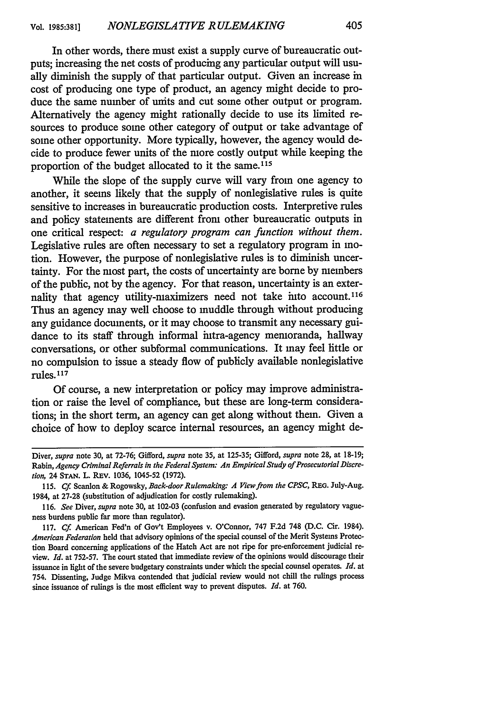In other words, there must exist a supply curve of bureaucratic outputs; increasing the net costs of producing any particular output will usually diminish the supply of that particular output. Given an increase in cost of producing one type of product, an agency might decide to produce the same number of units and cut some other output or program. Alternatively the agency might rationally decide to use its limited resources to produce some other category of output or take advantage of some other opportunity. More typically, however, the agency would decide to produce fewer units of the more costly output while keeping the proportion of the budget allocated to it the same.<sup>115</sup>

While the slope of the supply curve will vary from one agency to another, it seems likely that the supply of nonlegislative rules is quite sensitive to increases in bureaucratic production costs. Interpretive rules and policy statements are different from other bureaucratic outputs in one critical respect: *a regulatory program can function without them.* Legislative rules are often necessary to set a regulatory program in motion. However, the purpose of nonlegislative rules is to diminish uncertainty. For the most part, the costs of uncertainty are borne by members of the public, not by the agency. For that reason, uncertainty is an externality that agency utility-maximizers need not take into account. <sup>116</sup> Thus an agency may well choose to muddle through without producing any guidance documents, or it may choose to transmit any necessary guidance to its staff through informal intra-agency memoranda, hallway conversations, or other subformal communications. It may feel little or no compulsion to issue a steady flow of publicly available nonlegislative rules. <sup>117</sup>

Of course, a new interpretation or policy may improve administration or raise the level of compliance, but these are long-term considerations; in the short term, an agency can get along without them. Given a choice of how to deploy scarce internal resources, an agency might de-

Diver, *supra* note 30, at 72-76; Gifford, *supra* note 35, at 125-35; Gifford, *supra* note **28,** at 18-19; Rabin, Agency Criminal Referrals in the Federal System: An Empirical Study of Prosecutorial Discre*tion,* 24 **STAN.** L. REV. 1036, 1045-52 (1972).

<sup>115.</sup> *Cf* Scanlon & Rogowsky, *Back-door Rulemaking: A View from the CPSC,* REG. July-Aug. 1984, at 27-28 (substitution of adjudication for costly rulemaking).

<sup>116.</sup> *See* Diver, *supra* note 30, at 102-03 (confusion and evasion generated by regulatory vagueness burdens public far more than regulator).

<sup>117.</sup> *Cf* American Fed'n of Gov't Employees v. O'Connor, 747 F.2d 748 (D.C. Cir. 1984). *American Federation* held that advisory opinions of the special counsel of the Merit Systems Protection Board concerning applications of the Hatch Act are not ripe for pre-enforcement judicial review. *Id.* at 752-57. The court stated that immediate review of the opinions would discourage their issuance in light of the severe budgetary constraints under which the special counsel operates. *Id.* at 754. Dissenting, Judge Mikva contended that judicial review would not chill the rulings process since issuance of rulings is the most efficient way to prevent disputes. *Id.* at 760.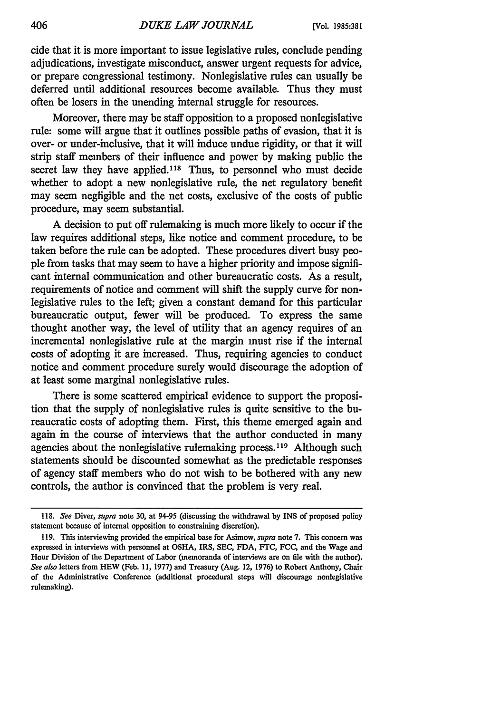cide that it is more important to issue legislative rules, conclude pending adjudications, investigate misconduct, answer urgent requests for advice, or prepare congressional testimony. Nonlegislative rules can usually be deferred until additional resources become available. Thus they must often be losers in the unending internal struggle for resources.

Moreover, there may be staff opposition to a proposed nonlegislative rule: some will argue that it outlines possible paths of evasion, that it is over- or under-inclusive, that it will induce undue rigidity, or that it will strip staff members of their influence and power by making public the secret law they have applied.<sup>118</sup> Thus, to personnel who must decide whether to adopt a new nonlegislative rule, the net regulatory benefit may seem negligible and the net costs, exclusive of the costs of public procedure, may seem substantial.

A decision to put off rulemaking is much more likely to occur if the law requires additional steps, like notice and comment procedure, to be taken before the rule can be adopted. These procedures divert busy people from tasks that may seem to have a higher priority and impose significant internal communication and other bureaucratic costs. As a result, requirements of notice and comment will shift the supply curve for nonlegislative rules to the left; given a constant demand for this particular bureaucratic output, fewer will be produced. To express the same thought another way, the level of utility that an agency requires of an incremental nonlegislative rule at the margin must rise if the internal costs of adopting it are increased. Thus, requiring agencies to conduct notice and comment procedure surely would discourage the adoption of at least some marginal nonlegislative rules.

There is some scattered empirical evidence to support the proposition that the supply of nonlegislative rules is quite sensitive to the bureaucratic costs of adopting them. First, this theme emerged again and again in the course of interviews that the author conducted in many agencies about the nonlegislative rulemaking process.<sup>119</sup> Although such statements should be discounted somewhat as the predictable responses of agency staff members who do not wish to be bothered with any new controls, the author is convinced that the problem is very real.

<sup>118.</sup> *See* Diver, *supra* note 30, at 94-95 (discussing the withdrawal by INS of proposed policy statement because of internal opposition to constraining discretion).

<sup>119.</sup> This interviewing provided the empirical base for Asimow, *supra* note 7. This concern was expressed in interviews with personnel at OSHA, IRS, **SEC,** FDA, FTC, **FCC,** and the Wage and Hour Division of the Department of Labor (memoranda of interviews are on file with the author). *See also* letters from HEW (Feb. 11, 1977) and Treasury (Aug. 12, 1976) to Robert Anthony, Chair of the Administrative Conference (additional procedural steps will discourage nonlegislative rulemaking).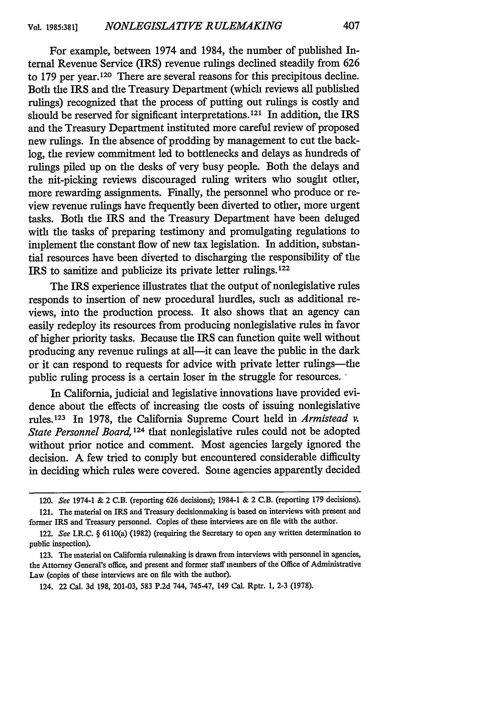For example, between 1974 and 1984, the number of published Internal Revenue Service (IRS) revenue rulings declined steadily from 626 to 179 per year. 120 There are several reasons for this precipitous decline. Both the IRS and the Treasury Department (which reviews all published rulings) recognized that the process of putting out rulings is costly and should be reserved for significant interpretations.<sup>121</sup> In addition, the IRS and the Treasury Department instituted more careful review of proposed new rulings. In the absence of prodding by management to cut the backlog, the review commitment led to bottlenecks and delays as hundreds of rulings piled up on the desks of very busy people. Both the delays and the nit-picking reviews discouraged ruling writers who sought other, more rewarding assignments. Finally, the personnel who produce or review revenue rulings have frequently been diverted to other, more urgent tasks. Both the IRS and the Treasury Department have been deluged with the tasks of preparing testimony and promulgating regulations to implement the constant flow of new tax legislation. In addition, substantial resources have been diverted to discharging the responsibility of the IRS to sanitize and publicize its private letter rulings.122

The IRS experience illustrates that the output of nonlegislative rules responds to insertion of new procedural hurdles, such as additional reviews, into the production process. It also shows that an agency can easily redeploy its resources from producing nonlegislative rules in favor of higher priority tasks. Because the IRS can function quite well without producing any revenue rulings at all—it can leave the public in the dark or it can respond to requests for advice with private letter rulings-the public ruling process is a certain loser in the struggle for resources.

In California, judicial and legislative innovations have provided evidence about the effects of increasing the costs of issuing nonlegislative rules. 123 In 1978, the California Supreme Court held in *Armistead v.* State Personnel Board,<sup>124</sup> that nonlegislative rules could not be adopted without prior notice and comment. Most agencies largely ignored the decision. A few tried to comply but encountered considerable difficulty in deciding which rules were covered. Some agencies apparently decided

<sup>120.</sup> See 1974-1 & 2 C.B. (reporting 626 decisions); 1984-1 & 2 C.B. (reporting 179 decisions).

<sup>121.</sup> The material on IRS and Treasury decisionmaking is based on interviews with present and former IRS and Treasury personnel. Copies of these interviews are on file with the author.

<sup>122.</sup> See I.R.C. § 6110(a) (1982) (requiring the Secretary to open any written determination to public inspection).

<sup>123.</sup> The material on California rulemaking is drawn from interviews with personnel in agencies, the Attorney General's office, and present and former staff members of the Office of Administrative Law (copies of these interviews are on fie with the author).

<sup>124. 22</sup> Cal. 3d 198, 201-03, 583 P.2d 744, 74547, 149 Cal. Rptr. **1,** 2-3 (1978).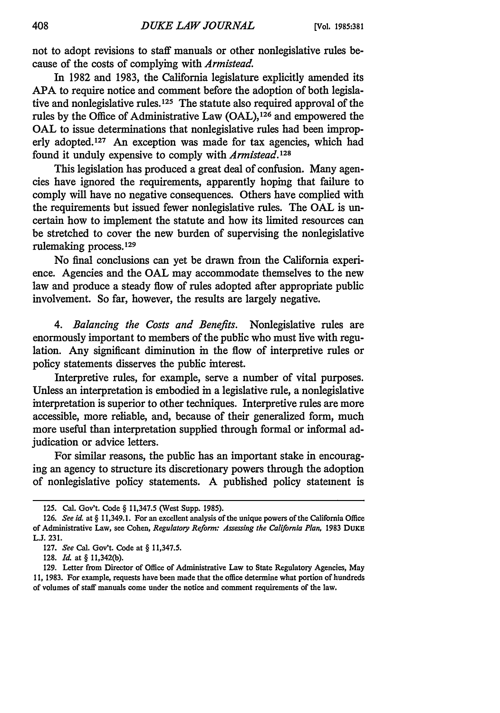not to adopt revisions to staff manuals or other nonlegislative rules because of the costs of complying with *Armistead.*

In 1982 and 1983, the California legislature explicitly amended its APA to require notice and comment before the adoption of both legislative and nonlegislative rules. **125** The statute also required approval of the rules by the Office of Administrative Law (OAL),126 and empowered the **OAL** to issue determinations that nonlegislative rules had been improperly adopted.<sup>127</sup> An exception was made for tax agencies, which had found it unduly expensive to comply with *Armistead.1 <sup>28</sup>*

This legislation has produced a great deal of confusion. Many agencies have ignored the requirements, apparently hoping that failure to comply will have no negative consequences. Others have complied with the requirements but issued fewer nonlegislative rules. The OAL is uncertain how to implement the statute and how its limited resources can be stretched to cover the new burden of supervising the nonlegislative rulemaking process.<sup>129</sup>

No final conclusions can yet be drawn from the California experience. Agencies and the OAL may accommodate themselves to the new law and produce a steady flow of rules adopted after appropriate public involvement. So far, however, the results are largely negative.

*4. Balancing the Costs and Benefits.* Nonlegislative rules are enormously important to members of the public who must live with regulation. Any significant diminution in the flow of interpretive rules or policy statements disserves the public interest.

Interpretive rules, for example, serve a number of vital purposes. Unless an interpretation is embodied in a legislative rule, a nonlegislative interpretation is superior to other techniques. Interpretive rules are more accessible, more reliable, and, because of their generalized form, much more useful than interpretation supplied through formal or informal adjudication or advice letters.

For similar reasons, the public has an important stake in encouraging an agency to structure its discretionary powers through the adoption of nonlegislative policy statements. A published policy statement is

**126.** *See id* at § 11,349.1. For an excellent analysis of the unique powers of the California Office of Administrative Law, see Cohen, *Regulatory Reform: Assessing the California Plan,* 1983 DuxE **L.J.** 231.

<sup>125.</sup> Cal. Gov't. Code § 11,347.5 (West Supp. 1985).

<sup>127.</sup> *See* Cal. Gov't. Code at § 11,347.5.

<sup>128.</sup> *Id.* at § 11,342(b).

**<sup>129.</sup>** Letter from Director of Office of Administrative Law to State Regulatory Agencies, May 11, 1983. For example, requests have been made that the office determine what portion of hundreds of volumes of staff manuals come under the notice and comment requirements of the law.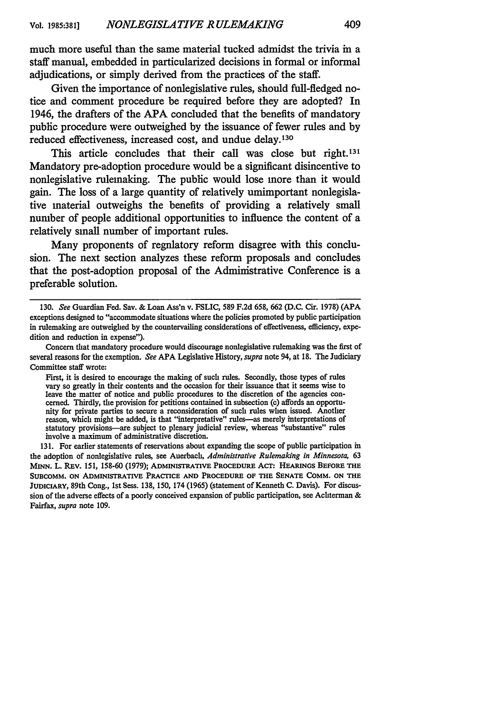much more useful than the same material tucked admidst the trivia in a staff manual, embedded in particularized decisions in formal or informal adjudications, or simply derived from the practices of the staff.

Given the importance of nonlegislative rules, should full-fledged notice and comment procedure be required before they are adopted? In 1946, the drafters of the APA concluded that the benefits of mandatory public procedure were outweighed by the issuance of fewer rules and by reduced effectiveness, increased cost, and undue delay.<sup>130</sup>

This article concludes that their call was close but right.<sup>131</sup> Mandatory pre-adoption procedure would be a significant disincentive to nonlegislative rulemaking. The public would lose more than it would gain. The loss of a large quantity of relatively umimportant nonlegislative material outweighs the benefits of providing a relatively small number of people additional opportunities to influence the content of a relatively small number of important rules.

Many proponents of regnlatory reform disagree with this conclusion. The next section analyzes these reform proposals and concludes that the post-adoption proposal of the Administrative Conference is a preferable solution.

131. For earlier statements of reservations about expanding the scope of public participation in the adoption of nonlegislative rules, see Auerbach, *Administrative Rulemaking in Minnesota,* 63 **MINN.** L. REv. 151, 158-60 (1979); **ADMINISTRATIVE PROCEDURE** ACT: HEARINGS BEFORE **THE SUBCOMM. ON ADMINI-rRATIVE** PRACTICE **AND** PROCEDURE OF THE **SENATE** COMM. **ON** THE **JUDICIARY,** 89th Cong., 1st Sess. 138, 150, 174 (1965) (statement of Kenneth **C.** Davis). For discussion of the adverse effects of a poorly conceived expansion of public participation, see Achterman & Fairfax, *supra* note 109.

<sup>130.</sup> *See* Guardian Fed. Sav. & Loan Ass'n v. FSLIC, **589 F.2d 658, 662 (D.C.** Cir. 1978) (APA exceptions designed to "accommodate situations where the policies promoted **by** public participation in rulemaking are outweighed **by** the countervailing considerations of effectiveness, efficiency, expedition and reduction in expense").

Concern that mandatory procedure would discourage nonlegislative rulemaking was the first of several reasons for the exemption. *See* APA Legislative History, *supra* note 94, at 18. The Judiciary Committee staff wrote:

First, it is desired to encourage the making of such rules. Secondly, those types of rules vary so greatly in their contents and the occasion for their issuance that it seems wise to leave the matter of notice and public procedures to the discretion of the agencies concerned. Thirdly, the provision for petitions contained in subsection (c) affords an opportunity for private parties to secure a reconsideration of such rules when issued. Another reason, which might be added, is that "interpretative" rules-as merely interpretations of statutory provisions-are subject to plenary judicial review, whereas "substantive" rules involve a maximum of administrative discretion.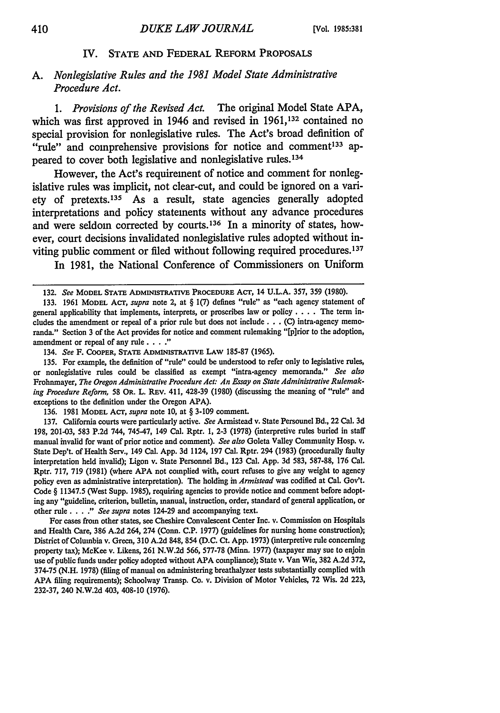#### IV. STATE AND FEDERAL REFORM PROPOSALS

### *A. Nonlegislative Rules and the 1981 Model State Administrative Procedure Act.*

*1. Provisions of the Revised Act.* The original Model State APA, which was first approved in 1946 and revised in **1961,132** contained no special provision for nonlegislative rules. The Act's broad definition of "rule" and comprehensive provisions for notice and comment<sup>133</sup> appeared to cover both legislative and nonlegislative rules.<sup>134</sup>

However, the **Act's** requirement of notice and comment for nonlegislative rules was implicit, not clear-cut, and could be ignored on a variety of pretexts. 135 As a result, state agencies generally adopted interpretations and policy statements without any advance procedures and were seldom corrected by courts.<sup>136</sup> In a minority of states, however, court decisions invalidated nonlegislative rules adopted without inviting public comment or filed without following required procedures.<sup>137</sup>

In **1981,** the National Conference of Commissioners on Uniform

134. *See* F. COOPER, **STATE ADMINISTRATIVE** LAW **185-87 (1965).**

**135.** For example, the definition of "rule" could be understood to refer only to legislative rules, or nonlegislative rules could be classified as exempt "intra-agency memoranda." *See also* Frolmmayer, *The Oregon Administrative Procedure Act: An Essay on State Administrative Rulemaking Procedure Reform,* 58 OR. L. REV. 411, **428-39** (1980) (discussing the meaning of "rule" and exceptions to the definition under the Oregon **APA).**

**136. 1981** MODEL ACT, *supra* note **10,** at § **3-109** comment.

**137.** California courts were particularly active. *See* Armistead v. State Personnel Bd., 22 Cal. **3d 198,** 201-03, **583 P.2d** 744, 745-47, 149 Cal. Rptr. **1, 2-3 (1978)** (interpretive rules buried in staff manual invalid for want of prior notice and comment). *See also* Goleta Valley Community Hosp. **v.** State Dep't. of Health Serv., 149 Cal. App. **3d** 1124, **197** Cal. Rptr. 294 **(1983)** (procedurally faulty interpretation held invalid); Ligon v. State Personnel Bd., **123** Cal. App. **3d 583, 587-88, 176** Cal. Rptr. 717, **719** (1981) (where **APA** not complied with, court refuses to give any weight to agency policy even as administrative interpretation). The holding in *Armistead* was codified at Cal. Gov't. Code § **11347.5** (West Supp. **1985),** requiring agencies to provide notice and comment before adopting any "guideline, criterion, bulletin, manual, instruction, order, standard of general application, or other rule. . . **."** *See supra* notes 124-29 and accompanying text.

For cases from other states, see Cheshire Convalescent Center Inc. v. Commission on Hospitals and Health Care, **386 A.2d** 264, 274 (Conn. **C.P. 1977)** (guidelines for nursing home construction); District of Columbia v. Green, **310** A.2d **848,** 854 **(D.C.** Ct. App. **1973)** (interpretive rule concerning property tax); McKee v. Likens, **261 N.W.2d** 566, **577-78** (Minn. **1977)** (taxpayer may sue to enjoin use of public funds under policy adopted without **APA** compliance); State v. Van Wie, **382 A.2d 372,** 374-75 **(N.H.** 1978) (filing of manual on administering breathalyzer tests substantially complied with **APA** filing requirements); Schoolway Transp. Co. v. Division of Motor Vehicles, **72** Wis. **2d** 223, **232-37,** 240 N.W.2d 403, 408-10 **(1976).**

**<sup>132.</sup>** *See* **MODEL STATE ADMINISTRATIVE PROCEDURE** ACT, 14 **U.L.A. 357, 359 (1980).**

**<sup>133.</sup>** 1961 MODEL ACT, *supra* note 2, at § 1(7) defines "rule" as "each agency statement of general applicability that implements, interprets, or proscribes law or policy .... The term includes the amendment or repeal of a prior rule but does not include **...** (C) intra-agency memoranda." Section **3** of the Act provides for notice and comment rulemaking "[p]rior to the adoption, amendment or repeal of any rule. **.. ."**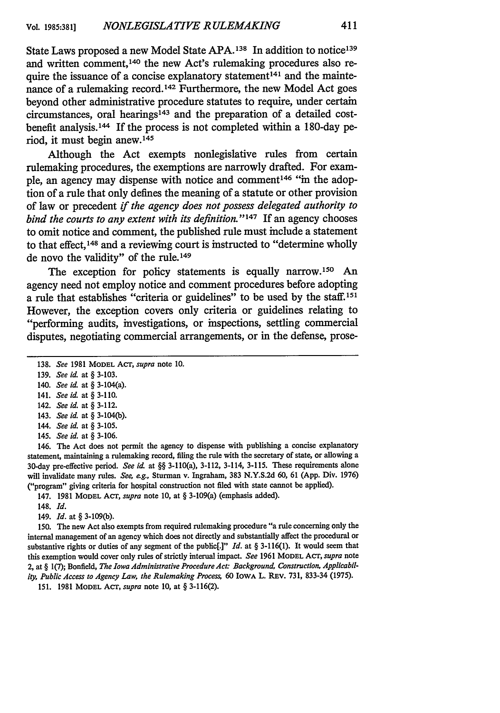State Laws proposed a new Model State **APA. <sup>138</sup>**In addition to notice<sup>139</sup> and written comment, 140 the new Act's rulemaking procedures also require the issuance of a concise explanatory statement<sup>141</sup> and the maintenance of a rulemaking record. 142 Furthermore, the new Model Act goes beyond other administrative procedure statutes to require, under certain circumstances, oral hearings<sup>143</sup> and the preparation of a detailed costbenefit analysis. 44 If the process is not completed within a 180-day period, it must begin anew. <sup>145</sup>

Although the Act exempts nonlegislative rules from certain rulemaking procedures, the exemptions are narrowly drafted. For example, an agency may dispense with notice and comment<sup>146</sup> "in the adoption of a rule that only defines the meaning of a statute or other provision of law or precedent *if the agency does not possess delegated authority to bind the courts to any extent with its definition."' 47* If an agency chooses to omit notice and comment, the published rule must include a statement to that effect, 148 and a reviewing court is instructed to "determine wholly de novo the validity" of the rule.149

The exception for policy statements is equally narrow.<sup>150</sup> An agency need not employ notice and comment procedures before adopting a rule that establishes "criteria or guidelines" to be used by the staff.151 However, the exception covers only criteria or guidelines relating to "performing audits, investigations, or inspections, settling commercial disputes, negotiating commercial arrangements, or in the defense, prose-

- 140. *See id.* at § 3-104(a).
- 141. *See id.* at § **3-110.**
- 142. *See id.* at § **3-112.**
- 143. *See id.* at § 3-104(b).
- 144. *See id.* at § **3-105.**
- 145. *See id.* at **§ 3-106.**

146. The Act does not permit the agency to dispense with publishing a concise explanatory statement, maintaining a rulemaking record, filing the rule with the secretary of state, or allowing a 30-day pre-effective period. *See id* at §§ 3-110(a), **3-112,** 3-114, **3-115.** These requirements alone will invalidate many rules. *See, eg.,* Sturman v. Ingraham, **383 N.Y.S.2d 60, 61 (App.** Div. **1976)** ("program" giving criteria for hospital construction not filed with state cannot be applied).

- 147. **1981 MODEL** Acr, *supra* note **10,** at § 3-109(a) (emphasis added).
- 148. *Id.*
- 149. *Id.* at § 3-109(b).

150. The new Act also exempts from required rulemaking procedure "a rule concerning only the internal management of an agency which does not directly and substantially affect the procedural or substantive rights or duties of any segment of the public[.]" *Id.* at *§* 3-116(1). It would seem that this exemption would cover only rules of strictly internal impact. *See* 1961 MODEL Acr, *supra* note 2, at § 1(7); Bonfield, *The Iowa Administrative Procedure Act" Background, Construction, Applicability, Public Access to Agency Law, the Rulemaking Proces,* 60 IowA L. REV. 731, 833-34 (1975).

151. 1981 MODEL ACT, *supra* note **10,** at § 3-116(2).

<sup>138.</sup> *See* 1981 MODEL Acr, *supra* note 10.

<sup>139.</sup> *See id.* at § 3-103.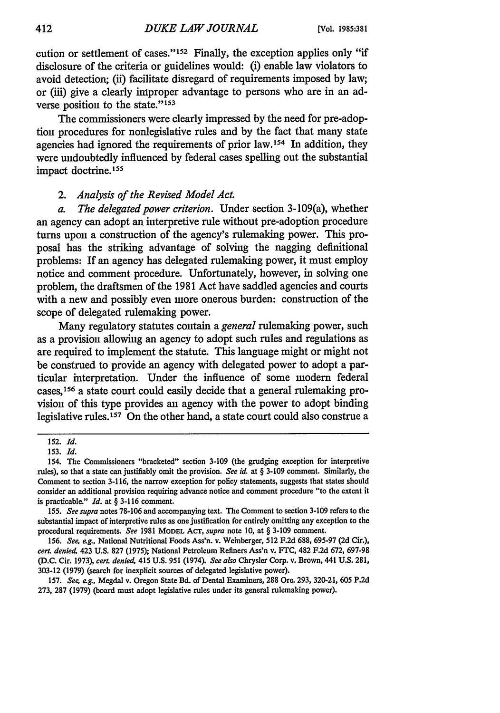cution or settlement of cases."152 Finally, the exception applies only "if disclosure of the criteria or guidelines would: (i) enable law violators to avoid detection; (ii) facilitate disregard of requirements imposed by law; or (iii) give a clearly improper advantage to persons who are in an adverse position to the state."<sup>153</sup>

The commissioners were clearly impressed by the need for pre-adoption procedures for nonlegislative rules and by the fact that many state agencies had ignored the requirements of prior law.154 In addition, they were undoubtedly influenced by federal cases spelling out the substantial impact doctrine. <sup>155</sup>

### *2. Analysis of the Revised Model Act.*

*a. The delegated power criterion.* Under section 3-109(a), whether an agency can adopt an interpretive rule without pre-adoption procedure turns upon a construction of the agency's rulemaking power. This proposal has the striking advantage of solving the nagging definitional problems: If an agency has delegated rulemaking power, it must employ notice and comment procedure. Unfortunately, however, in solving one problem, the draftsmen of the 1981 Act have saddled agencies and courts with a new and possibly even more onerous burden: construction of the scope of delegated rulemaking power.

Many regulatory statutes contain a *general* rulemaking power, such as a provision allowing an agency to adopt such rules and regulations as are required to implement the statute. This language might or might not be construed to provide an agency with delegated power to adopt a particular interpretation. Under the influence of some modern federal cases, 156 a state court could easily decide that a general rulemaking provision of this type provides an agency with the power to adopt binding legislative rules.<sup>157</sup> On the other hand, a state court could also construe a

155. *See supra* notes 78-106 and accompanying text. The Comment to section 3-109 refers to the substantial impact of interpretive rules as one justification for entirely omitting any exception to the procedural requirements. *See* 1981 MODEL Acr, *supra* note 10, at § 3-109 comment.

156. *See, eg.,* National Nutritional Foods Ass'n. v. Weinberger, 512 F.2d 688, 695-97 (2d Cir.), *cerL denied,* 423 U.S. 827 (1975); National Petroleum Refiners Ass'n v. FrC, 482 F.2d 672, 697-98 (D.C. Cir. 1973), *cert. denied,* 415 U.S. 951 (1974). *See also* Chrysler Corp. v. Brown, 441 U.S. 281, 303-12 (1979) (search for inexplicit sources of delegated legislative power).

157. *See, e.g., Megdal v. Oregon State Bd. of Dental Examiners, 288 Ore. 293, 320-21, 605 P.2d* 273, 287 (1979) (board must adopt legislative rules under its general rulemaking power).

<sup>152.</sup> *Id.*

<sup>153.</sup> *Id.*

<sup>154.</sup> The Commissioners "bracketed" section 3-109 (the grudging exception for interpretive rules), so that a state can justifiably omit the provision. *See id.* at § 3-109 comment. Similarly, the Comment to section 3-116, the narrow exception for policy statements, suggests that states should consider an additional provision requiring advance notice and comment procedure "to the extent it is practicable." *Id.* at § 3-116 comment.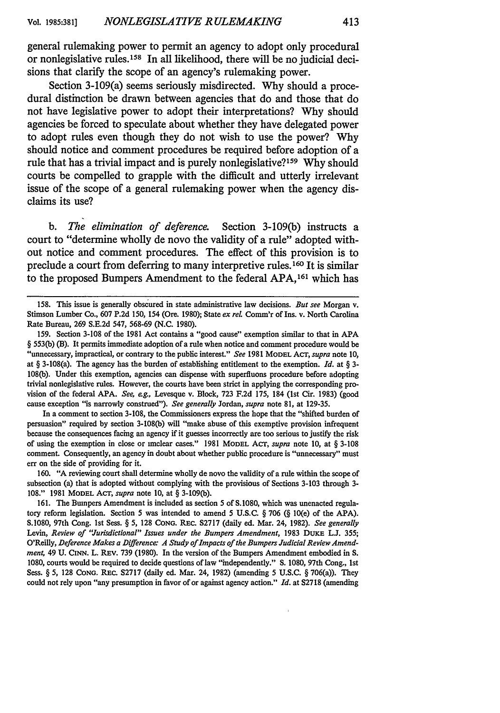general rulemaking power to permit an agency to adopt only procedural or nonlegislative rules. 158 In all likelihood, there will be no judicial decisions that clarify the scope of an agency's rulemaking power.

Section 3-109(a) seems seriously misdirected. **Why** should a procedural distinction be drawn between agencies that do and those that do not have legislative power to adopt their interpretations? **Why** should agencies be forced to speculate about whether they have delegated power to adopt rules even though they do not wish to use the power? **Why** should notice and comment procedures be required before adoption of a rule that has a trivial impact and is purely nonlegislative?<sup>159</sup> Why should courts be compelled to grapple with the difficult and utterly irrelevant issue of the scope of a general rulemaking power when the agency disclaims its use?

*b. The elimination of deference.* Section **3-109(b)** instructs a court to "determine wholly de novo the validity of a rule" adopted without notice and comment procedures. The effect of this provision is to preclude a court from deferring to many interpretive rules.160 It is similar to the proposed Bumpers Amendment to the federal **APA, <sup>161</sup>**which has

**159.** Section 3-108 of the 1981 Act contains a "good cause" exemption similar to that in **APA** § 553(b) (B). It permits immediate adoption of a rule when notice and comment procedure would be "unnecessary, impractical, or contrary to the public interest." *See* 1981 MODEL Acr, *supra* note 10, at § 3-108(a). The agency has the burden of establishing entitlement to the exemption. *Id.* at § 3- 108(b). Under this exemption, agencies can dispense with superfluons procedure before adopting trivial nonlegislative rules. However, the courts have been strict in applying the corresponding provision of the federal APA. *See, eg.,* Levesque v. Block, 723 F.2d 175, 184 (1st Cir. 1983) (good cause exception "is narrowly construed"). *See generally* Jordan, *supra* note 81, at 129-35.

In a comment to section 3-108, the Commissioners express the hope that the "shifted burden of persuasion" required by section 3-108(b) will "make abuse of this exemptive provision infrequent because the consequences facing an agency if it guesses incorrectly are too serious to justify the risk of using the exemption in close or unclear cases." 1981 **MODEL AcT,** *supra* note 10, at § 3-108 comment. Consequently, an agency in doubt about whether public procedure is "unnecessary" must err on the side of providing for it.

160. **"A** reviewing court shall determine wholly de novo the validity of a rule within the scope of subsection (a) that is adopted without complying with the provisions of Sections 3-103 through 3- 108." 1981 **MODEL** AcT, *supra* note **10,** at § 3-109(b).

161. The Bumpers Amendment is included as section 5 of S.1080, which was unenacted regulatory reform legislation. Section 5 was intended to amend 5 U.S.C. § 706 (§ 10(e) of the APA). S. 1080, 97th Cong. 1st Sess. § 5, 128 **CONG.** REc. S2717 (daily ed. Mar. 24, 1982). *See generally* Levin, *Review of "Jurisdictional" Issues under the Bumpers Amendment*, 1983 DUKE L.J. 355; O'Reilly, *Deference Makes a Difference: A Study of Impacts of the Bumpers Judicial Review Amendment,* 49 **U. CINN.** L. REv. 739 (1980). In the version of the Bumpers Amendment embodied in **S.** 1080, courts would be required to decide questions of law "independently." **S.** 1080, 97th Cong., 1st Sess. § 5, 128 **CONG.** REC. S2717 (daily ed. Mar. 24, 1982) (amending 5 U.S.C. § 706(a)). They could not rely upon "any presumption in favor of or against agency action." *Id.* at S2718 (amending

<sup>158.</sup> This issue is generally obscured in state administrative law decisions. *But see* Morgan v. Stimson Lumber Co., 607 P.2d 150, 154 (Ore. 1980); State ex rel Comm'r of Ins. v. North Carolina Rate Bureau, 269 S.E.2d 547, 568-69 (N.C. 1980).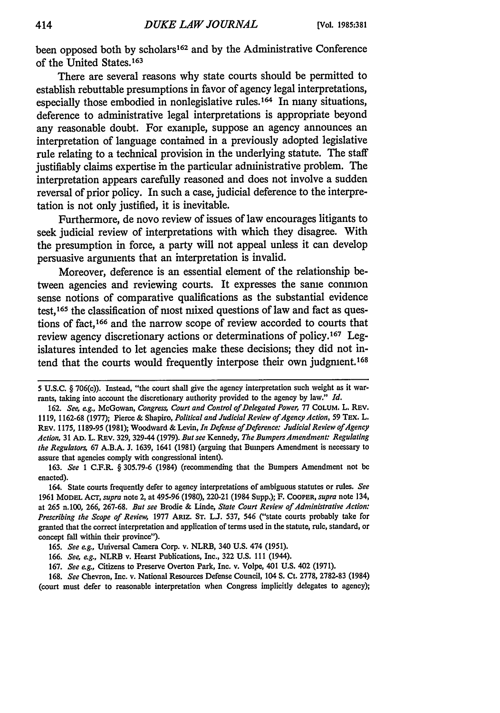been opposed both **by** scholars 162 and **by** the Administrative Conference of the United States.<sup>163</sup>

There are several reasons why state courts should be permitted to establish rebuttable presumptions in favor of agency legal interpretations, especially those embodied in nonlegislative rules. 164 In many situations, deference to administrative legal interpretations is appropriate beyond any reasonable doubt. For example, suppose an agency announces an interpretation of language contained in a previously adopted legislative rule relating to a technical provision in the underlying statute. The staff justifiably claims expertise in the particular administrative problem. The interpretation appears carefully reasoned and does not involve a sudden reversal of prior policy. In such a case, judicial deference to the interpretation is not only justified, it is inevitable.

Furthermore, de novo review of issues of law encourages litigants to seek judicial review of interpretations with which they disagree. With the presumption in force, a party will not appeal unless it can develop persuasive arguments that an interpretation is invalid.

Moreover, deference is an essential element of the relationship between agencies and reviewing courts. It expresses the same common sense notions of comparative qualifications as the substantial evidence test,<sup>165</sup> the classification of most mixed questions of law and fact as questions of fact,166 and the narrow scope of review accorded to courts that review agency discretionary actions or determinations of policy.<sup>167</sup> Legislatures intended to let agencies make these decisions; they did not intend that the courts would frequently interpose their own judgment. <sup>168</sup>

**168.** *See* Chevron, Inc. v. National Resources Defense Council, 104 **S.** Ct. 2778, 2782-83 (1984) (court **must defer to** reasonable interpretation when Congress implicitly delegates to agency);

<sup>5</sup> **U.S.C.** § 706(c)). Instead, "the court shall give the agency interpretation such weight as it warrants, taking into account the discretionary authority provided to the agency **by** law." *Id.*

<sup>162.</sup> *See, eg.,* McGowan, *Congress, Court and Control of Delegated Power,* **77 COLUM.** L. REv. 1119, 1162-68 (1977); Pierce & Shapiro, *Political and Judicial Review of Agency Action*, 59 TEx. L. REV. 1175, 1189-95 (1981); Woodward & Levin, *In Defense of Deference: Judicial Review of Agency Action,* 31 **AD.** L. REv. 329, 329-44 (1979). *But see* Kennedy, *The Bumpers Amendment: Regulating the Regulators,* 67 A.B.A. J. 1639, 1641 (1981) (arguing that Bumpers Amendment is necessary to assure that agencies comply with congressional intent).

**<sup>163.</sup>** *See* 1 C.F.R. § 305.79-6 (1984) (recommending that the Bumpers Amendment not be enacted).

**<sup>164.</sup> State courts frequently defer to agency interpretations of ambiguous statutes or rules.** *See* **1961 MODEL** Acr, *supra* note 2, at 495-96 (1980), 220-21 (1984 Supp.); F. **COOPER,** *supra* note 134, at 265 n.100, 266, 267-68. *But see* Brodie & Linde, *State Court Review of Administrative Action: Prescribing the Scope of Review,* 1977 ARiz. **ST.** L.J. 537, 546 ("state courts probably take for granted that the correct interpretation and application of terms used in the statute, rule, standard, or concept fall within their province").

**<sup>165.</sup>** *See eg.,* Universal Camera Corp. v. NLRB, 340 **U.S.** 474 (1951).

**<sup>166.</sup>** *See, eg.,* NLRB v. **Hearst Publications,** Inc., **322 U.S. 111** (1944).

**<sup>167.</sup>** *See eg.,* Citizens to Preserve Overton Park, Inc. v. Volpe, 401 U.S. 402 (1971).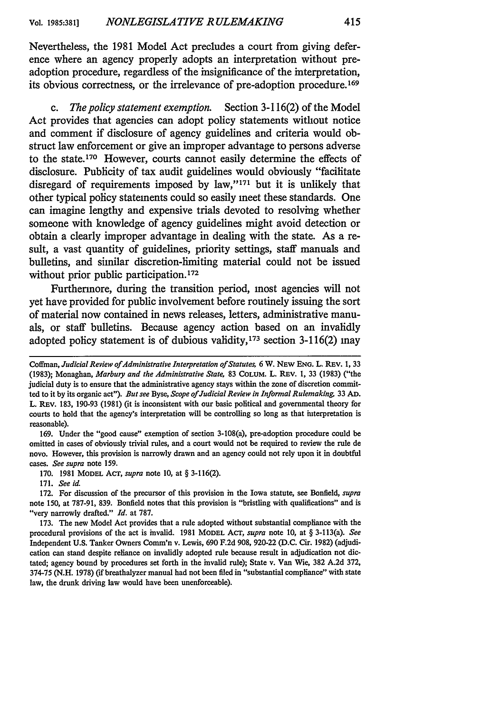Nevertheless, the **1981** Model Act precludes a court from giving deference where an agency properly adopts an interpretation without preadoption procedure, regardless of the insignificance of the interpretation, its obvious correctness, or the irrelevance of pre-adoption procedure. <sup>169</sup>

*c. The policy statement exemption.* Section **3-116(2)** of the Model Act provides that agencies can adopt policy statements without notice and comment if disclosure of agency guidelines and criteria would obstruct law enforcement or give an improper advantage to persons adverse to the state.<sup>170</sup> However, courts cannot easily determine the effects of disclosure. Publicity of tax audit guidelines would obviously "facilitate disregard of requirements imposed **by** law," 171 but it is unlikely that other typical policy statements could so easily meet these standards. One can imagine lengthy and expensive trials devoted to resolving whether someone with knowledge of agency guidelines might avoid detection or obtain a clearly improper advantage in dealing with the state. As a result, a vast quantity of guidelines, priority settings, staff manuals and bulletins, and similar discretion-limiting material could not be issued without prior public participation.<sup>172</sup>

Furthermore, during the transition period, most agencies will not yet have provided for public involvement before routinely issuing the sort of material now contained in news releases, letters, administrative manuals, or staff bulletins. Because agency action based on an invalidly adopted policy statement is of dubious validity,<sup>173</sup> section 3-116(2) may

169. Under the "good cause" exemption of section 3-108(a), pre-adoption procedure could be omitted in cases of obviously trivial rules, and a court would not be required to review the rule de novo. However, this provision is narrowly drawn and an agency could not rely upon it in doubtful cases. *See supra* note 159.

170. 1981 MODEL AcT, *supra* note **10,** at § 3-116(2).

171. *See id.*

172. For discussion of the precursor of this provision in the Iowa statute, see Bonfield, *supra* note 150, at 787-91, 839. Bonfield notes that this provision is "bristling with qualifications" and is "very narrowly drafted." *Id.* at 787.

Coffman, Judicial Review of Administrative Interpretation of Statutes, 6 W. NEW ENG. L. REV. 1, 33 (1983); Monaghan, *Marbury and the Administrative State,* 83 **COLUM.** L. REv. 1, 33 (1983) ("the judicial duty is to ensure that the administrative agency stays within the zone of discretion committed to it **by** its organic act"). *But see* Byse, *Scope of Judicial Review in InformalRulemaking* 33 **AD.** L. REV. 183, 190-93 (1981) (it is inconsistent with our basic political and governmental theory for courts to hold that the agency's interpretation will be controlling so long as that interpretation is reasonable).

<sup>173.</sup> The new Model Act provides that a rule adopted without substantial compliance with the procedural provisions of the act is invalid. 1981 MODEL **ACT,** *supra* note **10,** at § 3-113(a). *See* Independent U.S. Tanker Owners Comm'n v. Lewis, 690 F.2d 908, 920-22 (D.C. Cir. 1982) (adjudication can stand despite reliance on invalidly adopted rule because result in adjudication not dictated; agency bound by procedures set forth in the invalid rule); State v. Van Wie, 382 A.2d 372, 374-75 (N.H. 1978) (if breathalyzer manual had not been fied in "substantial compliance" with state law, the drunk driving law would have been unenforceable).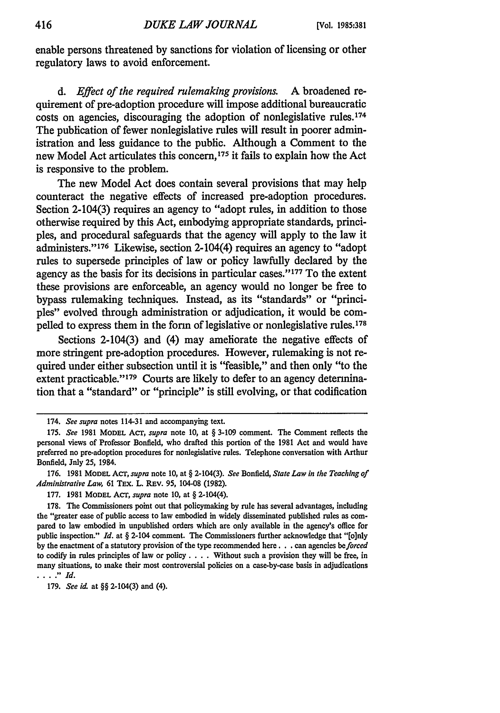enable persons threatened by sanctions for violation of licensing or other regulatory laws to avoid enforcement.

*d. Effect of the required rulemaking provisions.* A broadened requirement of pre-adoption procedure will impose additional bureaucratic costs on agencies, discouraging the adoption of nonlegislative rules.<sup>174</sup> The publication of fewer nonlegislative rules will result in poorer administration and less guidance to the public. Although a Comment to the new Model Act articulates this concern,<sup>175</sup> it fails to explain how the Act is responsive to the problem.

The new Model Act does contain several provisions that may help counteract the negative effects of increased pre-adoption procedures. Section 2-104(3) requires an agency to "adopt rules, in addition to those otherwise required by this Act, embodying appropriate standards, principles, and procedural safeguards that the agency will apply to the law it administers."<sup>176</sup> Likewise, section 2-104(4) requires an agency to "adopt rules to supersede principles of law or policy lawfully declared by the agency as the basis for its decisions in particular cases."<sup>177</sup> To the extent these provisions are enforceable, an agency would no longer be free to bypass rulemaking techniques. Instead, as its "standards" or "principles" evolved through administration or adjudication, it would be compelled to express them in the form of legislative or nonlegislative rules.178

Sections 2-104(3) and (4) may ameliorate the negative effects of more stringent pre-adoption procedures. However, rulemaking is not required under either subsection until it is "feasible," and then only "to the extent practicable."<sup>179</sup> Courts are likely to defer to an agency determination that a "standard" or "principle" is still evolving, or that codification

<sup>174.</sup> *See supra* notes 114-31 and accompanying text.

<sup>175.</sup> *See* 1981 MODEL Acr, *supra* note 10, at § 3-109 comment. The Comment reflects the personal views of Professor Bonfield, who drafted this portion of the 1981 Act and would have preferred no pre-adoption procedures for nonlegislative rules. Telephone conversation with Arthur Bonfield, Jnly 25, 1984.

<sup>176. 1981</sup> MODEL ACT, *supra* note 10, at § 2-104(3). *See Bonfield, State Law in the Teaching of Administrative Law, 61 TEX. L. REV. 95, 104-08 (1982).* 

<sup>177. 1981</sup> MODEL ACT, *supra* note 10, at § 2-104(4).

<sup>178.</sup> The Commissioners point out that policymaking by rule has several advantages, including the "greater ease of public access to law embodied in widely disseminated published rules as compared to law embodied in unpublished orders which are only available in the agency's office for public inspection." *Id.* at § 2-104 comment. The Commissioners further acknowledge that "[o]nly by the enactment of a statutory provision of the type recommended here. **. .** can agencies *be forced* to codify in rules principles of law or policy. . **.** . Without such a provision they will be free, in many situations, to make their most controversial policies on a case-by-case basis in adjudications **. ...** *Id.*

<sup>179.</sup> *See id.* at §§ 2-104(3) and (4).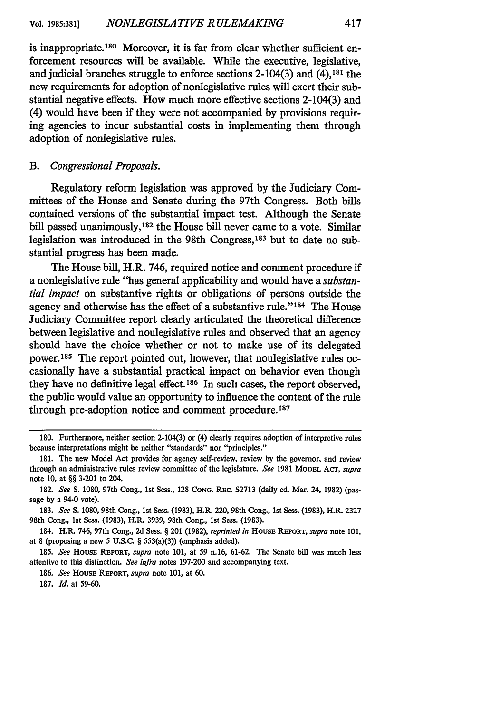is inappropriate.<sup>180</sup> Moreover, it is far from clear whether sufficient enforcement resources will be available. While the executive, legislative, and judicial branches struggle to enforce sections 2-104(3) and **(4),18'** the new requirements for adoption of nonlegislative rules will exert their substantial negative effects. How much more effective sections 2-104(3) and (4) would have been if they were not accompanied by provisions requiring agencies to incur substantial costs in implementing them through adoption of nonlegislative rules.

#### *B. Congressional Proposals.*

Regulatory reform legislation was approved by the Judiciary Committees of the House and Senate during the 97th Congress. Both bills contained versions of the substantial impact test. Although the Senate bill passed unanimously, 182 the House bill never came to a vote. Similar legislation was introduced in the 98th Congress,<sup>183</sup> but to date no substantial progress has been made.

The House bill, H.R. 746, required notice and comment procedure if a nonlegislative rule "has general applicability and would have a *substantial impact* on substantive rights or obligations of persons outside the agency and otherwise has the effect of a substantive rule."<sup>184</sup> The House Judiciary Committee report clearly articulated the theoretical difference between legislative and nonlegislative rules and observed that an agency should have the choice whether or not to make use of its delegated power. 185 The report pointed out, however, that nonlegislative rules occasionally have a substantial practical impact on behavior even though they have no definitive legal effect. 186 In such cases, the report observed, the public would value an opportunity to influence the content of the rule through pre-adoption notice and comment procedure.<sup>187</sup>

**<sup>180.</sup>** Furthermore, neither section 2-104(3) or (4) clearly requires adoption of interpretive rules because interpretations might be neither "standards" nor "principles."

**<sup>181.</sup>** The new Model Act provides for agency self-review, review **by** the governor, and review through an administrative rules review committee of the legislature. *See* **1981 MODEL** ACT, *supra* note **10,** at §§ **3-201** to 204.

**<sup>182.</sup>** *See* **S. 1080,** 97th Cong., **1st** Sess., **128 CONG.** REc. **S2713** (daily ed. Mar. 24, **1982)** (passage **by** a 94-0 vote).

**<sup>183.</sup>** *See* **S. 1080,** 98th Cong., Ist Sess. **(1983),** H.R. 220, 98th Cong., **1st** Sess. **(1983),** H.R. **2327** 98th Cong., **1st** Sess. **(1983),** H.R. **3939,** 98th Cong., 1st Sess. **(1983).**

<sup>184.</sup> H.R. 746, 97th Cong., **2d** Sess. § 201 **(1982),** *reprinted in* **HOUSE REPORT,** *supra* note **101,** at **8** (proposing a new **5 U.S.C.** § 553(a)(3)) (emphasis added).

**<sup>185.</sup>** *See* HOUSE **REPORT,** *supra* note **101,** at **59** n.16, **61-62.** The Senate bill was much less attentive to this distinction. *See infra* notes **197-200** and accompanying text.

**<sup>186.</sup>** *See* **HOUSE REPORT,** *supra* note **101,** at **60.**

**<sup>187.</sup>** *Id.* at **59-60.**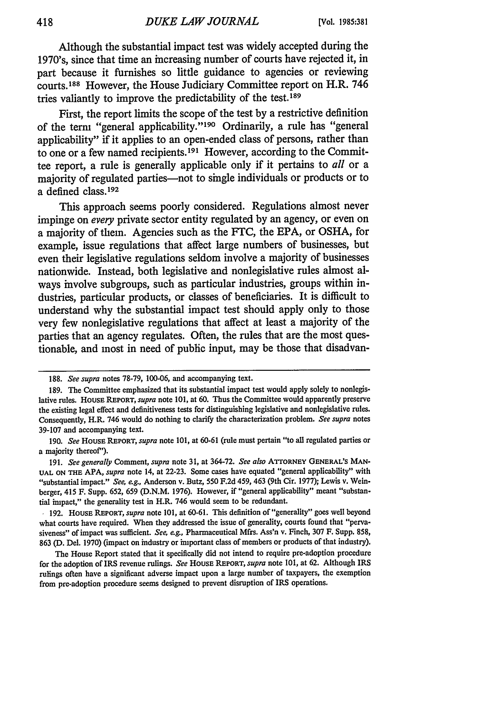Although the substantial impact test was widely accepted during the 1970's, since that time an increasing number of courts have rejected it, in part because it furnishes so little guidance to agencies or reviewing courts. 188 However, the House Judiciary Committee report on H.R. 746 tries valiantly to improve the predictability of the test. <sup>189</sup>

First, the report limits the scope of the test **by** a restrictive definition of the term "general applicability." 190 Ordinarily, a rule has "general applicability" if it applies to an open-ended class of persons, rather than to one or a few named recipients. 191 However, according to the Committee report, a rule is generally applicable only if it pertains to *all* or a majority of regulated parties—not to single individuals or products or to a defined class.192

This approach seems poorly considered. Regulations almost never impinge on *every* private sector entity regulated **by** an agency, or even on a majority of them. Agencies such as the **FTC,** the **EPA,** or **OSHA,** for example, issue regulations that affect large numbers of businesses, but even their legislative regulations seldom involve a majority of businesses nationwide. Instead, both legislative and nonlegislative rules almost always involve subgroups, such as particular industries, groups within industries, particular products, or classes of beneficiaries. It is difficult to understand why the substantial impact test should apply only to those very few nonlegislative regulations that affect at least a majority of the parties that an agency regulates. Often, the rules that are the most questionable, and most in need of public input, may be those that disadvan-

**<sup>188.</sup>** *See supra* notes 78-79, 100-06, and accompanying text.

<sup>189.</sup> The Committee emphasized that its substantial impact test would apply solely to nonlegislative rules. House REPORT, *supra* note 101, at 60. Thus the Committee would apparently preserve the existing legal effect and definitiveness tests for distinguishing legislative and nonlegislative rules. Consequently, H.R. 746 would do nothing to clarify the characterization problem. *See supra* notes 39-107 and accompanying text.

<sup>190.</sup> *See* **HOUSE REPORT,** *supra* note 101, at 60-61 (rule must pertain "to all regulated parties or a majority thereof").

<sup>191.</sup> *See generally* Comment, *supra* note 31, at 364-72. *See also* **ArrORNEY GENERAL'S** MAN-**UAL ON THE** APA, *supra* note 14, at 22-23. Some cases have equated "general applicability" with "substantial impact." *See, eg.,* Anderson v. Butz, 550 F.2d 459, 463 (9th Cir. 1977); Lewis v. Weinberger, 415 F. Supp. 652, 659 (D.N.M. 1976). However, if "general applicability" meant "substantial impact," the generality test in H.R. 746 would seem to be redundant.

<sup>192.</sup> **HOUSE** REPORT, *supra* note 101, at 60-61. This definition of "generality" goes well beyond what courts have required. When they addressed the issue of generality, courts found that "pervasiveness" of impact was sufficient. *See, eg.,* Pharmaceutical Mfrs. Ass'n v. Finch, 307 F. Supp. 858, 863 **(D.** Del. 1970) (impact on industry or important class of members or products of that industry).

The House Report stated that it specifically did not intend to require pre-adoption procedure for the adoption of IRS revenue rulings. *See* **HOUSE REPORT,** *supra* note 101, at 62. Although IRS rulings often have a significant adverse impact upon a large number of taxpayers, the exemption from pre-adoption procedure seems designed to prevent disruption of IRS operations.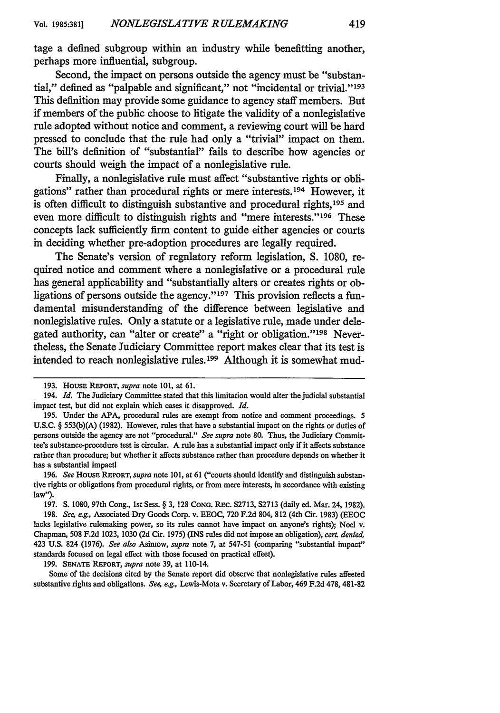tage a defined subgroup within an industry while benefitting another, perhaps more influential, subgroup.

Second, the impact on persons outside the agency must be "substantial," defined as "palpable and significant," not "incidental or trivial."<sup>193</sup> This definition may provide some guidance to agency staff members. But if members of the public choose to litigate the validity of a nonlegislative rule adopted without notice and comment, a reviewing court will be hard pressed to conclude that the rule had only a "trivial" impact on them. The bill's definition of "substantial" fails to describe how agencies or courts should weigh the impact of a nonlegislative rule.

Finally, a nonlegislative rule must affect "substantive rights or obligations" rather than procedural rights or mere interests.<sup>194</sup> However, it is often difficult to distinguish substantive and procedural rights, 195 and even more difficult to distinguish rights and "mere interests." 196 These concepts lack sufficiently firm content to guide either agencies or courts in deciding whether pre-adoption procedures are legally required.

The Senate's version of regulatory reform legislation, **S. 1080,** required notice and comment where a nonlegislative or a procedural rule has general applicability and "substantially alters or creates rights or obligations of persons outside the agency."<sup>197</sup> This provision reflects a fundamental misunderstanding of the difference between legislative and nonlegislative rules. Only a statute or a legislative rule, made under delegated authority, can "alter or create" a "right or obligation." 198 Nevertheless, the Senate Judiciary Committee report makes clear that its test is intended to reach nonlegislative rules. 199 Although it is somewhat mud-

**199. SENATE REPORT,** *supra* note **39,** at 110-14.

Some of the decisions cited **by** the Senate report did observe that nonlegislative rules affected substantive rights and obligations. *See, eg.,* Lewis-Mota v. Secretary of Labor, 469 **F.2d 478, 481-82**

**<sup>193.</sup> HOUSE REPORT,** *supra* note **101,** at **61.**

<sup>194.</sup> *Id.* The Judiciary Committee stated that this limitation would alter the judicial substantial impact test, but did not explain which cases it disapproved. *Id.*

**<sup>195.</sup>** Under the **APA,** procedural rules are exempt from notice and comment proceedings. **5 U.S.C. § 553(b)(A) (1982).** However, rules that have a substantial impact on the rights or duties of persons outside the agency are not "procedural." *See supra* note **80. Thus,** the Judiciary Committee's substance-procedure test is circular. **A** rule has a substantial impact only if it affects substance rather than procedure; but whether it affects substance rather than procedure depends on whether it has a substantial impact!

**<sup>196.</sup>** *See* HousE **REPORT,** *supra* note **101,** at **61** ("courts should identify and distinguish substantive rights or obligations from procedural rights, or from mere interests, in accordance with existing law").

**<sup>197.</sup> S. 1080,** 97th Cong., **1st** Sess. **§ 3, 128 CONG.** REc. **S2713, S2713** (daily ed. Mar. 24, **1982). 198.** *See, eg.,* Associated Dry Goods Corp. v. **EEOC, 720 F.2d** 804, **812** (4th Cir. **1983) (EEOC** lacks legislative rulemaking power, so its rules cannot have impact on anyone's rights); Noel v. Chapman, **508 F.2d 1023, 1030 (2d** Cir. **1975)** (INS rules did not impose an obligation), *cert denied,* 423 **U.S.** 824 **(1976).** *See also* Asimow, *supra* note **7,** at **547-51** (comparing "substantial impact" standards focused on legal effect with those focused on practical effect).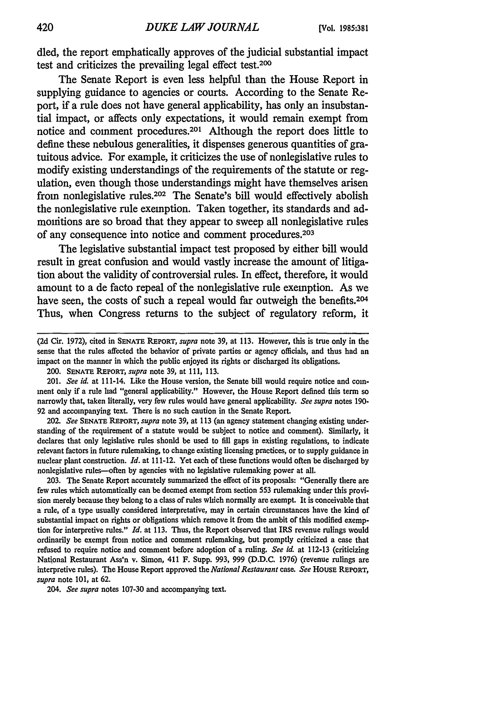**died,** the report emphatically approves of the judicial substantial impact test and criticizes the prevailing legal effect test. $200$ 

The Senate Report is even less helpful than the House Report in supplying guidance to agencies or courts. According to the Senate Report, if a rule does not have general applicability, has only an insubstantial impact, or affects only expectations, it would remain exempt from notice and comment procedures.<sup>201</sup> Although the report does little to define these nebulous generalities, it dispenses generous quantities of gratuitous advice. For example, it criticizes the use of nonlegislative rules to modify existing understandings of the requirements of the statute or regulation, even though those understandings might have themselves arisen from nonlegislative rules.202 The Senate's bill would effectively abolish the nonlegislative rule exemption. Taken together, its standards and admonitions are so broad that they appear to sweep all nonlegislative rules of any consequence into notice and comment procedures. <sup>203</sup>

The legislative substantial impact test proposed **by** either bill would result in great confusion and would vastly increase the amount of litigation about the validity of controversial rules. In effect, therefore, it would amount to a de facto repeal of the nonlegislative rule exemption. As we have seen, the costs of such a repeal would far outweigh the benefits.<sup>204</sup> Thus, when Congress returns to the subject of regulatory reform, it

202. *See* **SENATE** REPORT, *supra* note 39, at 113 (an agency statement changing existing understanding of the requirement of a statute would be subject to notice and comment). Similarly, it declares that only legislative rules should be used to fill gaps in existing regulations, to indicate relevant factors in future rulemaking, to change existing licensing practices, or to supply guidance in nuclear plant construction. *Id.* at 111-12. Yet each of these functions would often be discharged **by** nonlegislative rules-often by agencies with no legislative rulemaking power at all.

203. The Senate Report accurately summarized the effect of its proposals: "Generally there are few rules which automatically can be deemed exempt from section 553 rulemaking under this provision merely because they belong to a class of rules which normally are exempt. It is conceivable that a rule, of a type usually considered interpretative, may in certain circumstances have the kind of substantial impact on rights or obligations which remove it from the ambit of this modified exemption for interpretive rules." *Id.* at 113. Thus, the Report observed that IRS revenue rulings would ordinarily be exempt from notice and comment rulemaking, but promptly criticized a case that refused to require notice and comment before adoption of a ruling. *See id.* at 112-13 (criticizing National Restaurant Ass'n v. Simon, 411 F. Supp. 993, 999 (D.D.C. 1976) (revenue rulings are interpretive rules). The House Report approved the *National Restaurant* case. See HOUSE REPORT, *supra* note 101, at 62.

*204. See supra* notes 107-30 and accompanying text.

**<sup>(2</sup>d** Cir. 1972), cited in **SENATE REPORT,** *supra* note **39,** at 113. However, this is true only in the sense that the rules affected the behavior of private parties or agency officials, and thus had an impact on the manner in which the public enjoyed its rights or discharged its obligations.

<sup>200.</sup> **SENATE REPORT,** *supra* note 39, at 111, 113.

<sup>201.</sup> *See id.* at 111-14. Like the House version, the Senate bill would require notice and comment only if a rule had "general applicability." However, the House Report defined this term so narrowly that, taken literally, very few rules would have general applicability. *See supra* notes 190- 92 and accompanying text. There is no such caution in the Senate Report.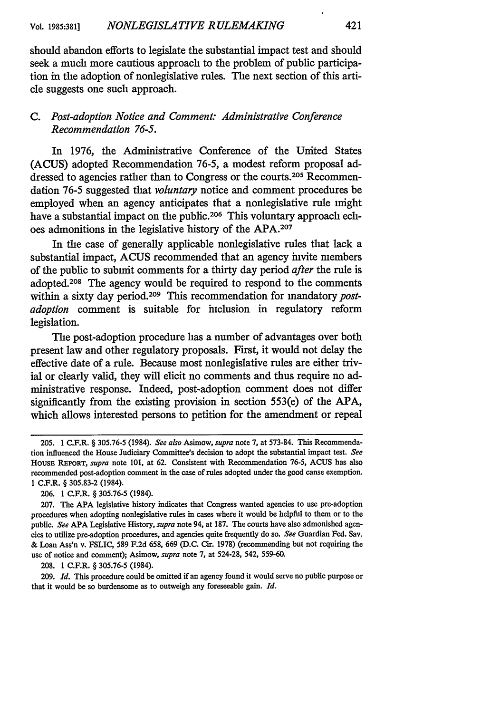should abandon efforts to legislate the substantial impact test and should seek a much more cautious approach to the problem of public participation in the adoption of nonlegislative rules. The next section of this article suggests one such approach.

# *C. Post-adoption Notice and Comment: Administrative Conference Recommendation 76-5.*

In 1976, the Administrative Conference of the United States (ACUS) adopted Recommendation 76-5, a modest reform proposal addressed to agencies rather than to Congress or the courts.205 Recommendation 76-5 suggested that *voluntary* notice and comment procedures be employed when an agency anticipates that a nonlegislative rule might have a substantial impact on the public.<sup>206</sup> This voluntary approach echoes admonitions in the legislative history of the APA.<sup>207</sup>

In the case of generally applicable nonlegislative rules that lack a substantial impact, ACUS recommended that an agency invite members of the public to submit comments for a thirty day period *after* the rule is adopted.208 The agency would be required to respond to the comments within a sixty day period.209 This recommendation for mandatory *postadoption* comment is suitable for inclusion in regulatory reform legislation.

The post-adoption procedure has a number of advantages over both present law and other regulatory proposals. First, it would not delay the effective date of a rule. Because most nonlegislative rules are either trivial or clearly valid, they will elicit no comments and thus require no administrative response. Indeed, post-adoption comment does not differ significantly from the existing provision in section 553(e) of the APA, which allows interested persons to petition for the amendment or repeal

206. 1 C.F.R. § 305.76-5 (1984).

208. **1** C.F.R. § 305.76-5 (1984).

209. *Id.* This procedure could be omitted if an agency found it would serve no public purpose or that it would be so burdensome as to outweigh any foreseeable gain. *Id.*

<sup>205. 1</sup> C.F.R. § 305.76-5 (1984). *See also* Asimow, *supra* note 7, at 573-84. This Recommendation influenced the House Judiciary Committee's decision to adopt the substantial impact test. *See* HOUSE REPORT, *supra* note 101, at 62. Consistent with Recommendation 76-5, ACUS has also recommended post-adoption comment in the case of rules adopted under the good cause exemption. I C.F.L § 305.83-2 (1984).

<sup>207.</sup> The APA legislative history indicates that Congress wanted agencies to use pre-adoption procedures when adopting nonlegislative rules in cases where it would be helpful to them or to the public. *See* APA Legislative History, *supra* note 94, at 187. The courts have also admonished agencies to utilize pre-adoption procedures, and agencies quite frequently do so. *See* Guardian Fed. Say. & Loan Ass'n v. FSLIC, 589 F.2d 658, 669 (D.C. Cir. 1978) (recommending but not requiring the use of notice and comment); Asimow, *supra* note 7, at 524-28, 542, 559-60.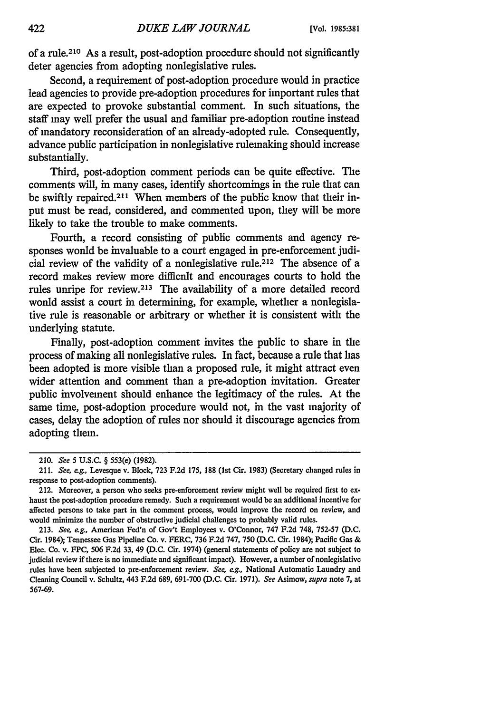of a rule.210 As a result, post-adoption procedure should not significantly deter agencies from adopting nonlegislative rules.

Second, a requirement of post-adoption procedure would in practice lead agencies to provide pre-adoption procedures for important rules that are expected to provoke substantial comment. In such situations, the staff may well prefer the usual and familiar pre-adoption routine instead of mandatory reconsideration of an already-adopted rule. Consequently, advance public participation in nonlegislative rulemaking should increase substantially.

Third, post-adoption comment periods can be quite effective. The comments will, in many cases, identify shortcomings in the rule that can be swiftly repaired.<sup>211</sup> When members of the public know that their input must be read, considered, and commented upon, they will be more likely to take the trouble to make comments.

Fourth, a record consisting of public comments and agency responses wonld be invaluable to a court engaged in pre-enforcement judicial review of the validity of a nonlegislative rule.<sup>212</sup> The absence of a record makes review more difficult and encourages courts to hold the rules unripe for review.213 The availability of a more detailed record wonld assist a court in determining, for example, whether a nonlegislative rule is reasonable or arbitrary or whether it is consistent with the underlying statute.

Finally, post-adoption comment invites the public to share in the process of making all nonlegislative rules. In fact, because a rule that has been adopted is more visible than a proposed rule, it might attract even wider attention and comment than a pre-adoption invitation. Greater public involvement should enhance the legitimacy of the rules. At the same time, post-adoption procedure would not, in the vast majority of cases, delay the adoption of rules nor should it discourage agencies from adopting them.

<sup>210.</sup> See *5* U.S.C. § 553(e) (1982).

<sup>211.</sup> See, *eg.,* Levesque v. Block, 723 F.2d 175, 188 (lst Cir. 1983) (Secretary changed rules in response to post-adoption comments).

<sup>212.</sup> Moreover, a person who seeks pre-enforcement review might well be required first to exhaust the post-adoption procedure remedy. Such a requirement would be an additional incentive for affected persons to take part in the comment process, would improve the record on review, and would minimize the number of obstructive judicial challenges to probably valid rules.

<sup>213.</sup> See, eg., American Fed'n of Gov't Employees v. O'Connor, 747 F.2d 748, 752-57 (D.C. Cir. 1984); Tennessee Gas Pipeline Co. v. FERC, 736 F.2d 747, 750 (D.C. Cir. 1984); Pacific Gas & Elec. Co. v. FPC, 506 **F.2d** 33, 49 (D.C. Cir. 1974) (general statements of policy are not subject to judicial review if there is no immediate and significant impact). However, a number of nonlegislative rules have been subjected to pre-enforcement review. See, *eg.,* National Automatic Laundry and Cleaning Council v. Schultz, 443 F.2d 689, 691-700 (D.C. Cir. 1971). See Asimow, supra note 7, at 567-69.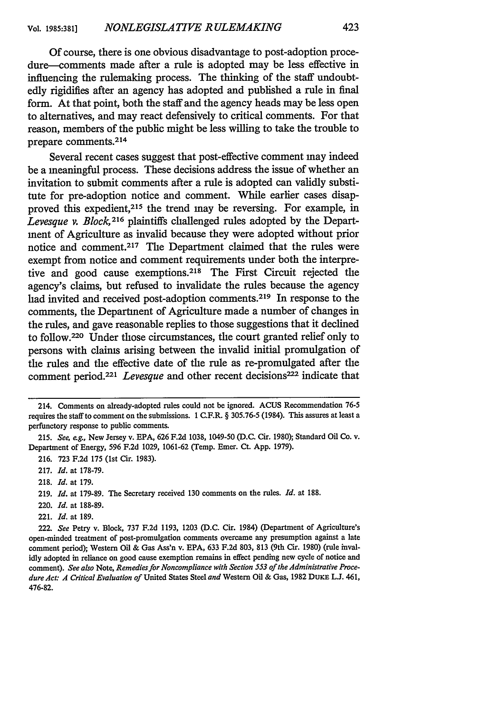Of course, there is one obvious disadvantage to post-adoption procedure-comments made after a rule is adopted may be less effective in influencing the rulemaking process. The thinking of the staff undoubtedly rigidifies after an agency has adopted and published a rule in final form. At that point, both the staff and the agency heads may be less open to alternatives, and may react defensively to critical comments. For that reason, members of the public might be less willing to take the trouble to prepare comments.<sup>214</sup>

Several recent cases suggest that post-effective comment may indeed be a meaningful process. These decisions address the issue of whether an invitation to submit comments after a rule is adopted can validly substitute for pre-adoption notice and comment. While earlier cases disapproved this expedient, 215 the trend may be reversing. For example, in *Levesque v. Block*,<sup>216</sup> plaintiffs challenged rules adopted by the Department of Agriculture as invalid because they were adopted without prior notice and comment.217 The Department claimed that the rules were exempt from notice and comment requirements under both the interpretive and good cause exemptions.<sup>218</sup> The First Circuit rejected the agency's claims, but refused to invalidate the rules because the agency had invited and received post-adoption comments.<sup>219</sup> In response to the comments, the Department of Agriculture made a number of changes in the rules, and gave reasonable replies to those suggestions that it declined to follow.220 Under those circumstances, the court granted relief only to persons with claims arising between the invalid initial promulgation of the rules and the effective date of the rule as re-promulgated after the comment period.<sup>221</sup> *Levesque* and other recent decisions<sup>222</sup> indicate that

221. *Id.* at 189.

<sup>214.</sup> Comments on already-adopted rules could not be ignored. **ACUS** Recommendation 76-5 requires the staff to comment on the submissions. 1 C.F.R. § 305.76-5 (1984). This assures at least a perfunctory response to public comments.

<sup>215.</sup> *See, eg.,* New Jersey v. EPA, 626 F.2d 1038, 1049-50 (D.C. Cir. 1980); Standard Oil Co. v. Department of Energy, 596 F.2d 1029, 1061-62 (Temp. Emer. Ct. App. 1979).

<sup>216. 723</sup> F.2d 175 (1st Cir. 1983).

<sup>217.</sup> *Id.* at 178-79.

<sup>218.</sup> *Id.* at 179.

<sup>219.</sup> *Id.* at 179-89. The Secretary received 130 comments on the rules. *Id.* at 188.

<sup>220.</sup> *Id.* at 188-89.

<sup>222.</sup> *See* Petry v. Block, 737 F.2d 1193, 1203 (D.C. Cir. 1984) (Department of Agriculture's open-minded treatment of post-promulgation comments overcame any presumption against a late comment period); Western Oil & Gas Ass'n v. EPA, 633 F.2d 803, 813 (9th Cir. 1980) (rule invalidly adopted in reliance on good cause exemption remains in effect pending new cycle of notice and comment). *See also* Note, *Remedies for Noncompliance with Section 553 of the Administrative Procedure Act: A Critical Evaluation of* United States Steel *and* Western Oil & Gas, 1982 DuKE L.J. 461, 476-82.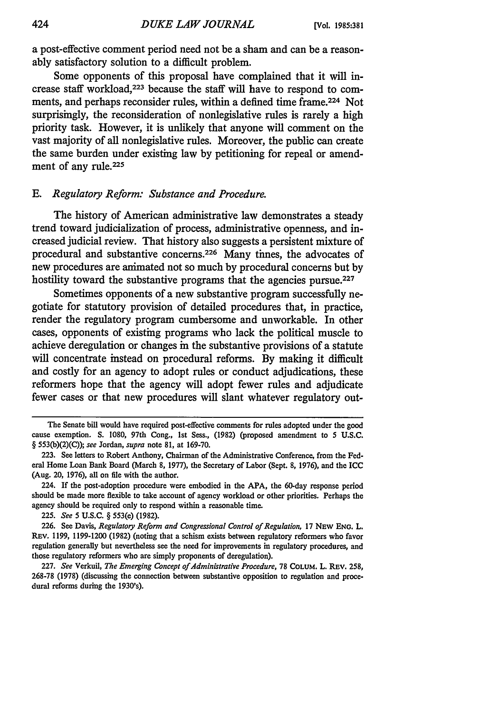a post-effective comment period need not be a sham and can be a reasonably satisfactory solution to a difficult problem.

Some opponents of this proposal have complained that it will increase staff workload, 223 because the staff will have to respond to comments, and perhaps reconsider rules, within a defined time frame. 224 Not surprisingly, the reconsideration of nonlegislative rules is rarely a high priority task. However, it is unlikely that anyone **will** comment on the vast majority of all nonlegislative rules. Moreover, the public can create the same burden under existing law **by** petitioning for repeal or amendment of any rule.<sup>225</sup>

### *E. Regulatory Reform: Substance and Procedure.*

The history of American administrative law demonstrates a steady trend toward judicialization of process, administrative openness, and increased judicial review. That history also suggests a persistent mixture of procedural and substantive concerns.<sup>226</sup> Many times, the advocates of new procedures are animated not so much **by** procedural concerns but **by** hostility toward the substantive programs that the agencies pursue.<sup>227</sup>

Sometimes opponents of a new substantive program successfully negotiate for statutory provision of detailed procedures that, in practice, render the regulatory program cumbersome and unworkable. In other cases, opponents of existing programs who lack the political muscle to achieve deregulation or changes in the substantive provisions of a statute will concentrate instead on procedural reforms. **By** making it difficult and costly for an agency to adopt rules or conduct adjudications, these reformers hope that the agency will adopt fewer rules and adjudicate fewer cases or that new procedures will slant whatever regulatory out-

225. *See* 5 **U.S.C.** § 553(e) (1982).

The Senate bill would have required post-effective comments for rules adopted under the good cause exemption. **S.** 1080, 97th Cong., 1st Sess., (1982) (proposed amendment to 5 **U.S.C.** § 553(b)(2)(C)); *see* Jordan, *supra* note **81,** at 169-70.

<sup>223.</sup> See letters to Robert Anthony, Chairman of the Administrative Conference, from the Federal Home Loan Bank Board (March **8,** 1977), the Secretary of Labor (Sept. 8, 1976), and the ICC (Aug. 20, 1976), all on file with the author.

<sup>224.</sup> If the post-adoption procedure were embodied in the **APA,** the 60-day response period should be made more flexible to take account of agency workload or other priorities. Perhaps the agency should be required only to respond within a reasonable time.

<sup>226.</sup> See Davis, *Regulatory Reform and Congressional Control of Regulation,* **17** NEW **ENG.** L. REV. 1199, 1199-1200 (1982) (noting that a schism exists between regulatory reformers who favor regulation generally but nevertheless see the need for improvements in regulatory procedures, and those regulatory reformers who are simply proponents of deregulation).

<sup>227.</sup> *See* Verkuil, *The Emerging Concept of Administrative Procedure,* 78 COLUM. L. REv. 258, 268-78 (1978) (discussing the connection between substantive opposition to regulation and procedural reforms during the 1930's).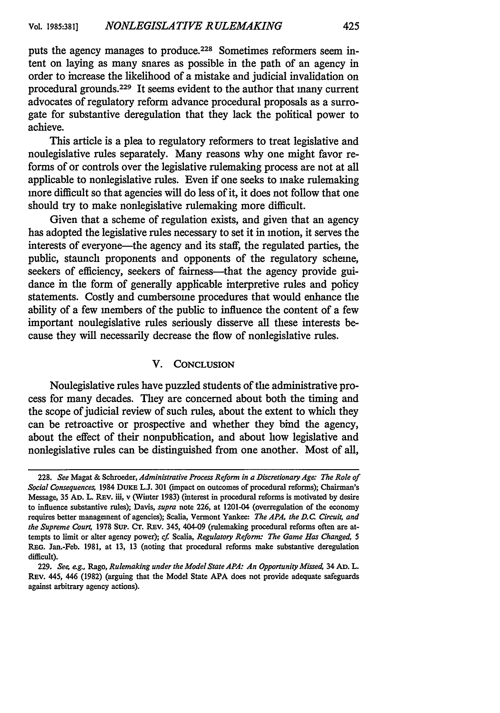puts the agency manages to produce.<sup>228</sup> Sometimes reformers seem intent on laying as many snares as possible in the path of an agency in order to increase the likelihood of a mistake and judicial invalidation on procedural grounds.229 It seems evident to the author that many current advocates of regulatory reform advance procedural proposals as a surrogate for substantive deregulation that they lack the political power to achieve.

This article is a plea to regulatory reformers to treat legislative and nonlegislative rules separately. Many reasons why one might favor reforms of or controls over the legislative rulemaking process are not at all applicable to nonlegislative rules. Even if one seeks to make rulemaking more difficult so that agencies will do less of it, it does not follow that one should try to make nonlegislative rulemaking more difficult.

Given that a scheme of regulation exists, and given that an agency has adopted the legislative rules necessary to set it in motion, it serves the interests of everyone-the agency and its staff, the regulated parties, the public, staunch proponents and opponents of the regulatory scheme, seekers of efficiency, seekers of fairness—that the agency provide guidance in the form of generally applicable interpretive rules and policy statements. Costly and cumbersome procedures that would enhance the ability of a few members of the public to influence the content of a few important nonlegislative rules seriously disserve all these interests because they will necessarily decrease the flow of nonlegislative rules.

#### V. **CONCLUSION**

Nonlegislative rules have puzzled students of the administrative process for many decades. They are concerned about both the timing and the scope of judicial review of such rules, about the extent to which they can be retroactive or prospective and whether they bind the agency, about the effect of their nonpublication, and about how legislative and nonlegislative rules can be distinguished from one another. Most of all,

<sup>228.</sup> *See* Magat & Schroeder, *Administrative Process Reform in a Discretionary Age: The Role of Social Consequences,* 1984 DuKE L.J. 301 (impact on outcomes of procedural reforms); Chairman's Message, 35 **AD.** L. REv. iii, v (Winter 1983) (interest in procedural reforms is motivated by desire to influence substantive rules); Davis, *supra* note 226, at 1201-04 (overregulation of the economy requires better management of agencies); Scalia, Vermont Yankee: *The APA, the D.C. Circuit, and the Supreme Court,* 1978 **SuP. Cr.** REv. 345, 404-09 (rulemaking procedural reforms often are attempts to limit or alter agency power); *cf Scalia, Regulatory Reform: The Game Has Changed, 5* REG. Jan.-Feb. 1981, at 13, 13 (noting that procedural reforms make substantive deregulation difficult).

<sup>229.</sup> *See, eg.,* Rago, *Rulemaking under the Model State APA: An Opportunity Missed,* 34 **AD.** L. REv. 445, 446 (1982) (arguing that the Model State **APA** does not provide adequate safeguards against arbitrary agency actions).